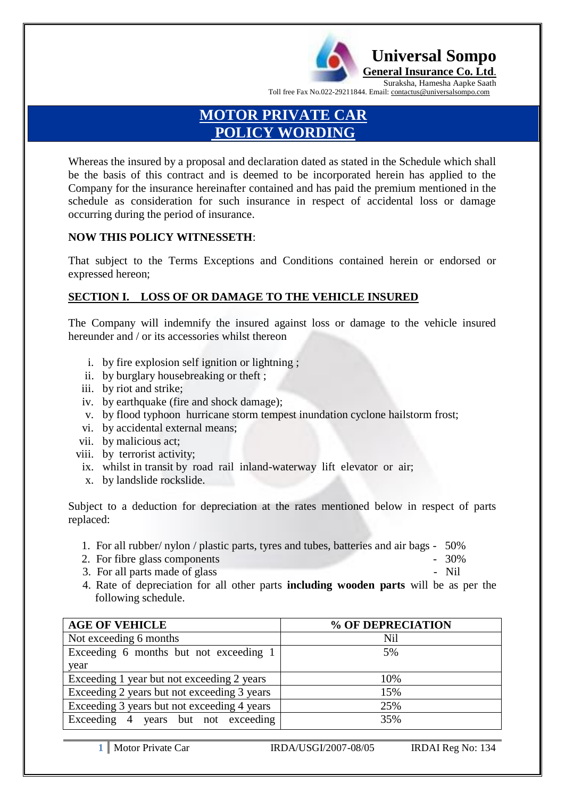

Suraksha, Hamesha Aapke Saath Toll free Fax No.022-29211844. Email: contactus@universalsompo.com

 **Universal Sompo General Insurance Co. Ltd**.

# **MOTOR PRIVATE CAR POLICY WORDING**

Whereas the insured by a proposal and declaration dated as stated in the Schedule which shall be the basis of this contract and is deemed to be incorporated herein has applied to the Company for the insurance hereinafter contained and has paid the premium mentioned in the schedule as consideration for such insurance in respect of accidental loss or damage occurring during the period of insurance.

#### **NOW THIS POLICY WITNESSETH**:

That subject to the Terms Exceptions and Conditions contained herein or endorsed or expressed hereon;

## **SECTION I. LOSS OF OR DAMAGE TO THE VEHICLE INSURED**

The Company will indemnify the insured against loss or damage to the vehicle insured hereunder and / or its accessories whilst thereon

- i. by fire explosion self ignition or lightning ;
- ii. by burglary housebreaking or theft ;
- iii. by riot and strike;
- iv. by earthquake (fire and shock damage);
- v. by flood typhoon hurricane storm tempest inundation cyclone hailstorm frost;
- vi. by accidental external means;
- vii. by malicious act;
- viii. by terrorist activity;
	- ix. whilst in transit by road rail inland-waterway lift elevator or air;
	- x. by landslide rockslide.

Subject to a deduction for depreciation at the rates mentioned below in respect of parts replaced:

- 1. For all rubber/ nylon / plastic parts, tyres and tubes, batteries and air bags 50%
- 2. For fibre glass components  $-30\%$
- 3. For all parts made of glass  $\sim$  Nil
- 4. Rate of depreciation for all other parts **including wooden parts** will be as per the following schedule.

| <b>AGE OF VEHICLE</b>                       | % OF DEPRECIATION |
|---------------------------------------------|-------------------|
| Not exceeding 6 months                      | Nil               |
| Exceeding 6 months but not exceeding 1      | 5%                |
| year                                        |                   |
| Exceeding 1 year but not exceeding 2 years  | 10%               |
| Exceeding 2 years but not exceeding 3 years | 15%               |
| Exceeding 3 years but not exceeding 4 years | 25%               |
| Exceeding 4 years but not exceeding         | 35%               |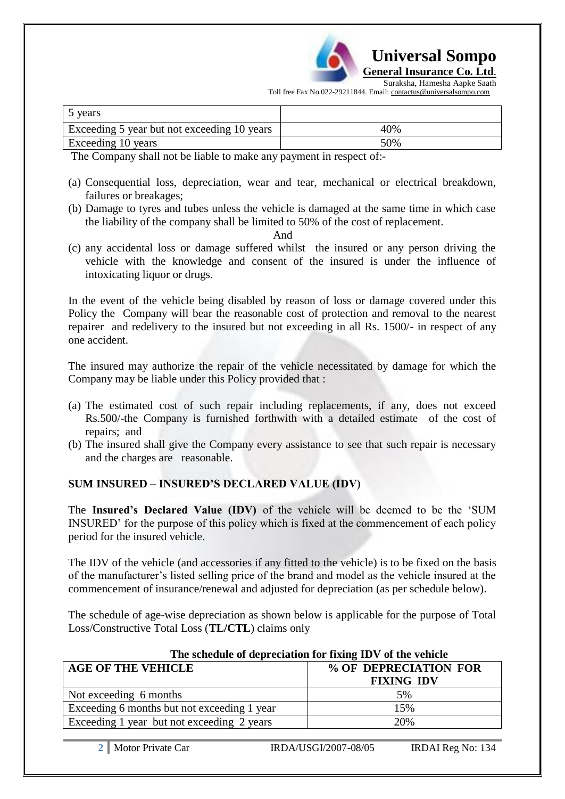

Suraksha, Hamesha Aapke Saath Toll free Fax No.022-29211844. Email: contactus@universalsompo.com

| 5 years                                     |     |
|---------------------------------------------|-----|
| Exceeding 5 year but not exceeding 10 years | 40% |
| Exceeding 10 years                          | 50% |

The Company shall not be liable to make any payment in respect of:-

- (a) Consequential loss, depreciation, wear and tear, mechanical or electrical breakdown, failures or breakages;
- (b) Damage to tyres and tubes unless the vehicle is damaged at the same time in which case the liability of the company shall be limited to 50% of the cost of replacement.

And

(c) any accidental loss or damage suffered whilst the insured or any person driving the vehicle with the knowledge and consent of the insured is under the influence of intoxicating liquor or drugs.

In the event of the vehicle being disabled by reason of loss or damage covered under this Policy the Company will bear the reasonable cost of protection and removal to the nearest repairer and redelivery to the insured but not exceeding in all Rs. 1500/- in respect of any one accident.

The insured may authorize the repair of the vehicle necessitated by damage for which the Company may be liable under this Policy provided that :

- (a) The estimated cost of such repair including replacements, if any, does not exceed Rs.500/-the Company is furnished forthwith with a detailed estimate of the cost of repairs; and
- (b) The insured shall give the Company every assistance to see that such repair is necessary and the charges are reasonable.

## **SUM INSURED – INSURED'S DECLARED VALUE (IDV)**

The **Insured's Declared Value (IDV)** of the vehicle will be deemed to be the "SUM INSURED" for the purpose of this policy which is fixed at the commencement of each policy period for the insured vehicle.

The IDV of the vehicle (and accessories if any fitted to the vehicle) is to be fixed on the basis of the manufacturer"s listed selling price of the brand and model as the vehicle insured at the commencement of insurance/renewal and adjusted for depreciation (as per schedule below).

The schedule of age-wise depreciation as shown below is applicable for the purpose of Total Loss/Constructive Total Loss (**TL/CTL**) claims only

| The schedule of depreciation for fixing TDV of the vehicle |                       |  |  |
|------------------------------------------------------------|-----------------------|--|--|
| <b>AGE OF THE VEHICLE</b>                                  | % OF DEPRECIATION FOR |  |  |
|                                                            | <b>FIXING IDV</b>     |  |  |
| Not exceeding 6 months                                     | 5%                    |  |  |
| Exceeding 6 months but not exceeding 1 year                | 15%                   |  |  |
| Exceeding 1 year but not exceeding 2 years                 | 20%                   |  |  |

# **The schedule of depreciation for fixing IDV of the vehicle**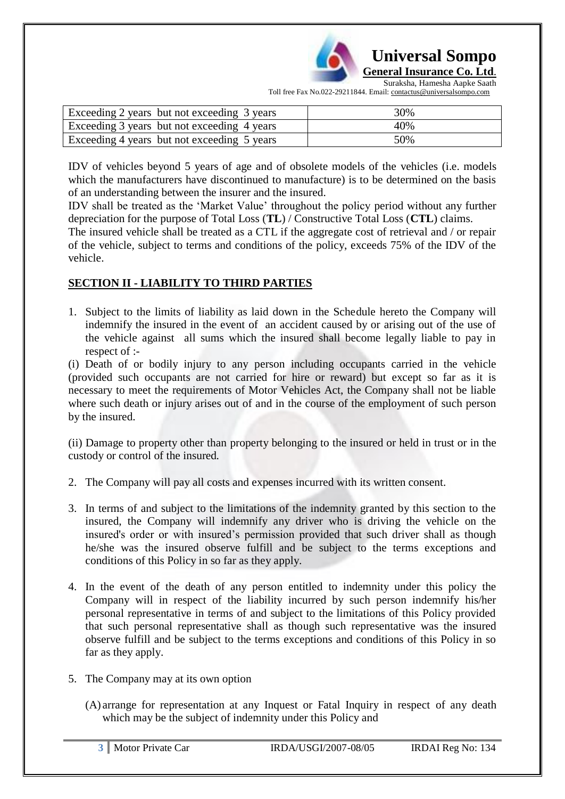

 **Universal Sompo General Insurance Co. Ltd**.

Suraksha, Hamesha Aapke Saath Toll free Fax No.022-29211844. Email: contactus@universalsompo.com

| Exceeding 2 years but not exceeding 3 years | 30% |
|---------------------------------------------|-----|
| Exceeding 3 years but not exceeding 4 years | 40% |
| Exceeding 4 years but not exceeding 5 years | 50% |

IDV of vehicles beyond 5 years of age and of obsolete models of the vehicles (i.e. models which the manufacturers have discontinued to manufacture) is to be determined on the basis of an understanding between the insurer and the insured.

IDV shall be treated as the "Market Value" throughout the policy period without any further depreciation for the purpose of Total Loss (**TL**) / Constructive Total Loss (**CTL**) claims.

The insured vehicle shall be treated as a CTL if the aggregate cost of retrieval and / or repair of the vehicle, subject to terms and conditions of the policy, exceeds 75% of the IDV of the vehicle.

# **SECTION II - LIABILITY TO THIRD PARTIES**

1. Subject to the limits of liability as laid down in the Schedule hereto the Company will indemnify the insured in the event of an accident caused by or arising out of the use of the vehicle against all sums which the insured shall become legally liable to pay in respect of :-

(i) Death of or bodily injury to any person including occupants carried in the vehicle (provided such occupants are not carried for hire or reward) but except so far as it is necessary to meet the requirements of Motor Vehicles Act, the Company shall not be liable where such death or injury arises out of and in the course of the employment of such person by the insured.

(ii) Damage to property other than property belonging to the insured or held in trust or in the custody or control of the insured*.*

- 2. The Company will pay all costs and expenses incurred with its written consent.
- 3. In terms of and subject to the limitations of the indemnity granted by this section to the insured, the Company will indemnify any driver who is driving the vehicle on the insured's order or with insured"s permission provided that such driver shall as though he/she was the insured observe fulfill and be subject to the terms exceptions and conditions of this Policy in so far as they apply.
- 4. In the event of the death of any person entitled to indemnity under this policy the Company will in respect of the liability incurred by such person indemnify his/her personal representative in terms of and subject to the limitations of this Policy provided that such personal representative shall as though such representative was the insured observe fulfill and be subject to the terms exceptions and conditions of this Policy in so far as they apply.
- 5. The Company may at its own option
	- (A) arrange for representation at any Inquest or Fatal Inquiry in respect of any death which may be the subject of indemnity under this Policy and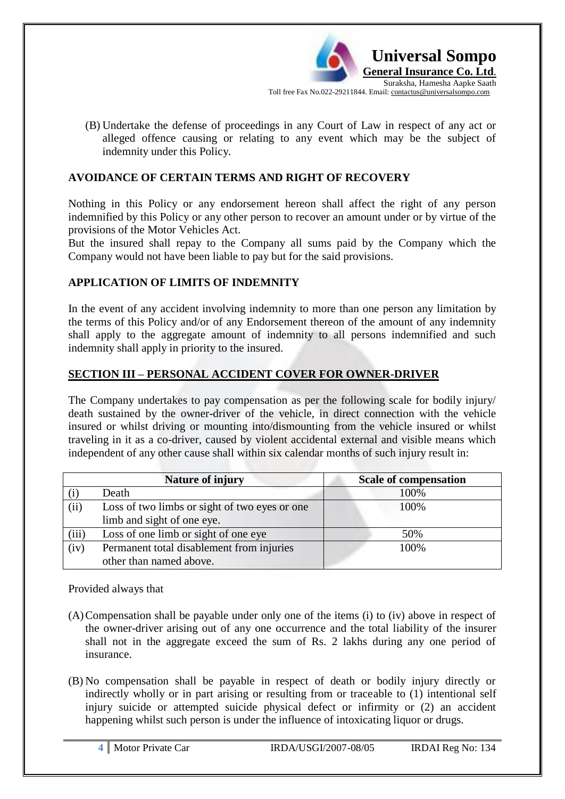

(B) Undertake the defense of proceedings in any Court of Law in respect of any act or alleged offence causing or relating to any event which may be the subject of indemnity under this Policy.

#### **AVOIDANCE OF CERTAIN TERMS AND RIGHT OF RECOVERY**

Nothing in this Policy or any endorsement hereon shall affect the right of any person indemnified by this Policy or any other person to recover an amount under or by virtue of the provisions of the Motor Vehicles Act.

But the insured shall repay to the Company all sums paid by the Company which the Company would not have been liable to pay but for the said provisions.

#### **APPLICATION OF LIMITS OF INDEMNITY**

In the event of any accident involving indemnity to more than one person any limitation by the terms of this Policy and/or of any Endorsement thereon of the amount of any indemnity shall apply to the aggregate amount of indemnity to all persons indemnified and such indemnity shall apply in priority to the insured.

#### **SECTION III – PERSONAL ACCIDENT COVER FOR OWNER-DRIVER**

The Company undertakes to pay compensation as per the following scale for bodily injury/ death sustained by the owner-driver of the vehicle, in direct connection with the vehicle insured or whilst driving or mounting into/dismounting from the vehicle insured or whilst traveling in it as a co-driver, caused by violent accidental external and visible means which independent of any other cause shall within six calendar months of such injury result in:

|       | <b>Nature of injury</b>                       | <b>Scale of compensation</b> |
|-------|-----------------------------------------------|------------------------------|
|       | Death                                         | 100%                         |
| (ii)  | Loss of two limbs or sight of two eyes or one | 100%                         |
|       | limb and sight of one eye.                    |                              |
| (iii) | Loss of one limb or sight of one eye          | 50%                          |
| (iv)  | Permanent total disablement from injuries     | 100%                         |
|       | other than named above.                       |                              |

Provided always that

- (A)Compensation shall be payable under only one of the items (i) to (iv) above in respect of the owner-driver arising out of any one occurrence and the total liability of the insurer shall not in the aggregate exceed the sum of Rs. 2 lakhs during any one period of insurance.
- (B) No compensation shall be payable in respect of death or bodily injury directly or indirectly wholly or in part arising or resulting from or traceable to (1) intentional self injury suicide or attempted suicide physical defect or infirmity or (2) an accident happening whilst such person is under the influence of intoxicating liquor or drugs.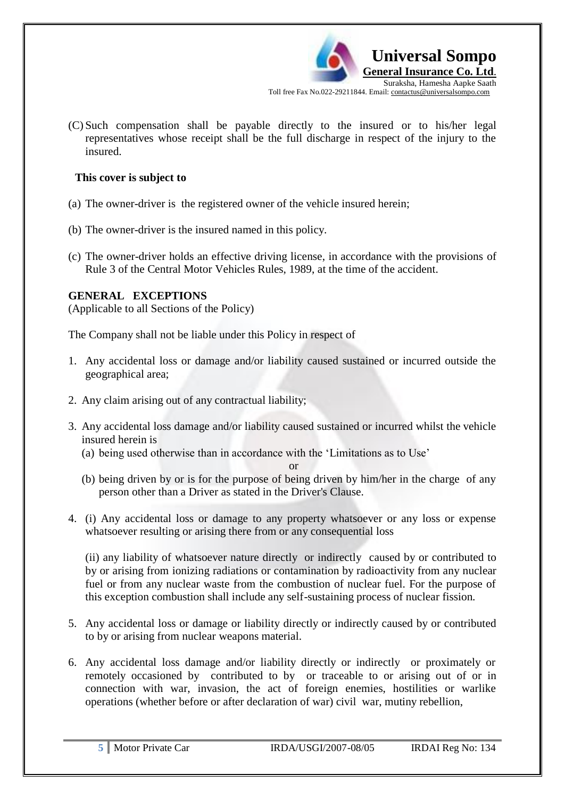

(C) Such compensation shall be payable directly to the insured or to his/her legal representatives whose receipt shall be the full discharge in respect of the injury to the insured.

## **This cover is subject to**

- (a) The owner-driver is the registered owner of the vehicle insured herein;
- (b) The owner-driver is the insured named in this policy.
- (c) The owner-driver holds an effective driving license, in accordance with the provisions of Rule 3 of the Central Motor Vehicles Rules, 1989, at the time of the accident.

# **GENERAL EXCEPTIONS**

(Applicable to all Sections of the Policy)

The Company shall not be liable under this Policy in respect of

- 1. Any accidental loss or damage and/or liability caused sustained or incurred outside the geographical area;
- 2. Any claim arising out of any contractual liability;
- 3. Any accidental loss damage and/or liability caused sustained or incurred whilst the vehicle insured herein is
	- (a) being used otherwise than in accordance with the "Limitations as to Use"

or

- (b) being driven by or is for the purpose of being driven by him/her in the charge of any person other than a Driver as stated in the Driver's Clause.
- 4. (i) Any accidental loss or damage to any property whatsoever or any loss or expense whatsoever resulting or arising there from or any consequential loss

(ii) any liability of whatsoever nature directly or indirectly caused by or contributed to by or arising from ionizing radiations or contamination by radioactivity from any nuclear fuel or from any nuclear waste from the combustion of nuclear fuel. For the purpose of this exception combustion shall include any self-sustaining process of nuclear fission.

- 5. Any accidental loss or damage or liability directly or indirectly caused by or contributed to by or arising from nuclear weapons material.
- 6. Any accidental loss damage and/or liability directly or indirectly or proximately or remotely occasioned by contributed to by or traceable to or arising out of or in connection with war, invasion, the act of foreign enemies, hostilities or warlike operations (whether before or after declaration of war) civil war, mutiny rebellion,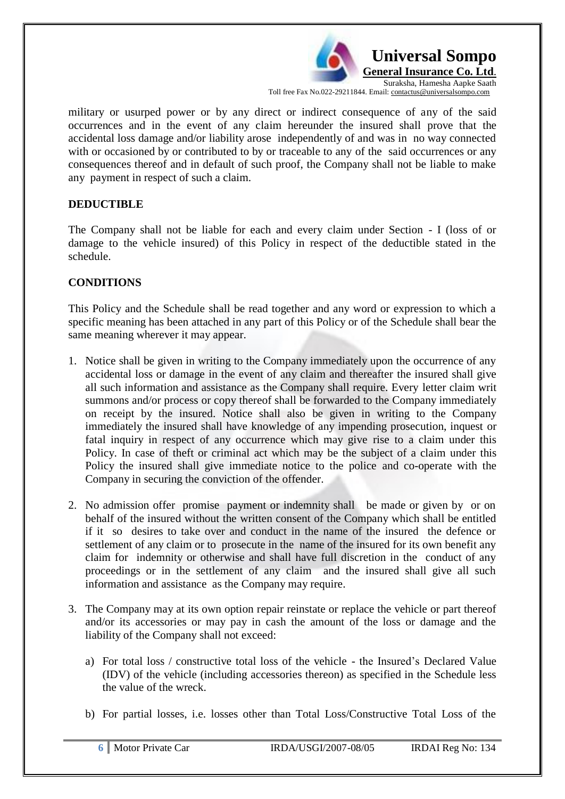

military or usurped power or by any direct or indirect consequence of any of the said occurrences and in the event of any claim hereunder the insured shall prove that the accidental loss damage and/or liability arose independently of and was in no way connected with or occasioned by or contributed to by or traceable to any of the said occurrences or any consequences thereof and in default of such proof, the Company shall not be liable to make any payment in respect of such a claim.

#### **DEDUCTIBLE**

The Company shall not be liable for each and every claim under Section - I (loss of or damage to the vehicle insured) of this Policy in respect of the deductible stated in the schedule.

## **CONDITIONS**

This Policy and the Schedule shall be read together and any word or expression to which a specific meaning has been attached in any part of this Policy or of the Schedule shall bear the same meaning wherever it may appear.

- 1. Notice shall be given in writing to the Company immediately upon the occurrence of any accidental loss or damage in the event of any claim and thereafter the insured shall give all such information and assistance as the Company shall require. Every letter claim writ summons and/or process or copy thereof shall be forwarded to the Company immediately on receipt by the insured. Notice shall also be given in writing to the Company immediately the insured shall have knowledge of any impending prosecution, inquest or fatal inquiry in respect of any occurrence which may give rise to a claim under this Policy. In case of theft or criminal act which may be the subject of a claim under this Policy the insured shall give immediate notice to the police and co-operate with the Company in securing the conviction of the offender.
- 2. No admission offer promise payment or indemnity shall be made or given by or on behalf of the insured without the written consent of the Company which shall be entitled if it so desires to take over and conduct in the name of the insured the defence or settlement of any claim or to prosecute in the name of the insured for its own benefit any claim for indemnity or otherwise and shall have full discretion in the conduct of any proceedings or in the settlement of any claim and the insured shall give all such information and assistance as the Company may require.
- 3. The Company may at its own option repair reinstate or replace the vehicle or part thereof and/or its accessories or may pay in cash the amount of the loss or damage and the liability of the Company shall not exceed:
	- a) For total loss / constructive total loss of the vehicle the Insured"s Declared Value (IDV) of the vehicle (including accessories thereon) as specified in the Schedule less the value of the wreck.
	- b) For partial losses, i.e. losses other than Total Loss/Constructive Total Loss of the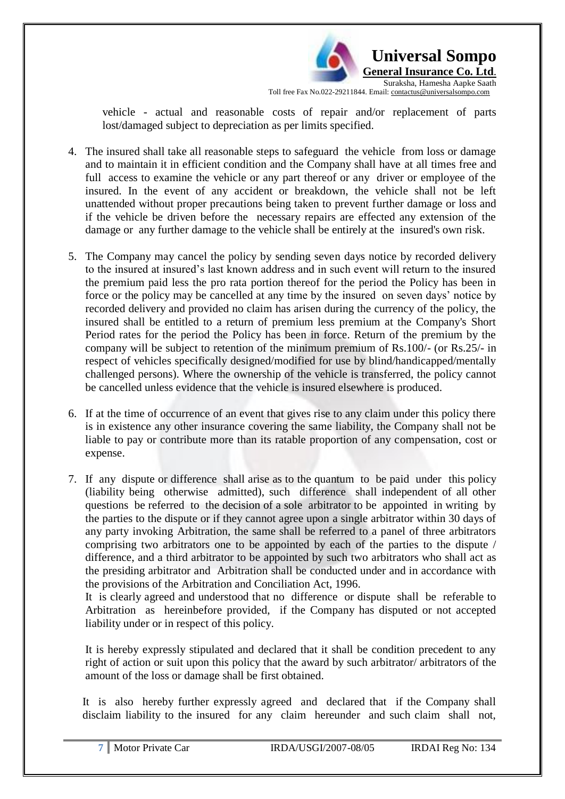

vehicle - actual and reasonable costs of repair and/or replacement of parts lost/damaged subject to depreciation as per limits specified.

- 4. The insured shall take all reasonable steps to safeguard the vehicle from loss or damage and to maintain it in efficient condition and the Company shall have at all times free and full access to examine the vehicle or any part thereof or any driver or employee of the insured. In the event of any accident or breakdown, the vehicle shall not be left unattended without proper precautions being taken to prevent further damage or loss and if the vehicle be driven before the necessary repairs are effected any extension of the damage or any further damage to the vehicle shall be entirely at the insured's own risk.
- 5. The Company may cancel the policy by sending seven days notice by recorded delivery to the insured at insured"s last known address and in such event will return to the insured the premium paid less the pro rata portion thereof for the period the Policy has been in force or the policy may be cancelled at any time by the insured on seven days" notice by recorded delivery and provided no claim has arisen during the currency of the policy, the insured shall be entitled to a return of premium less premium at the Company's Short Period rates for the period the Policy has been in force. Return of the premium by the company will be subject to retention of the minimum premium of Rs.100/- (or Rs.25/- in respect of vehicles specifically designed/modified for use by blind/handicapped/mentally challenged persons). Where the ownership of the vehicle is transferred, the policy cannot be cancelled unless evidence that the vehicle is insured elsewhere is produced.
- 6. If at the time of occurrence of an event that gives rise to any claim under this policy there is in existence any other insurance covering the same liability, the Company shall not be liable to pay or contribute more than its ratable proportion of any compensation, cost or expense.
- 7. If any dispute or difference shall arise as to the quantum to be paid under this policy (liability being otherwise admitted), such difference shall independent of all other questions be referred to the decision of a sole arbitrator to be appointed in writing by the parties to the dispute or if they cannot agree upon a single arbitrator within 30 days of any party invoking Arbitration, the same shall be referred to a panel of three arbitrators comprising two arbitrators one to be appointed by each of the parties to the dispute / difference, and a third arbitrator to be appointed by such two arbitrators who shall act as the presiding arbitrator and Arbitration shall be conducted under and in accordance with the provisions of the Arbitration and Conciliation Act, 1996.

It is clearly agreed and understood that no difference or dispute shall be referable to Arbitration as hereinbefore provided, if the Company has disputed or not accepted liability under or in respect of this policy.

It is hereby expressly stipulated and declared that it shall be condition precedent to any right of action or suit upon this policy that the award by such arbitrator/ arbitrators of the amount of the loss or damage shall be first obtained.

It is also hereby further expressly agreed and declared that if the Company shall disclaim liability to the insured for any claim hereunder and such claim shall not,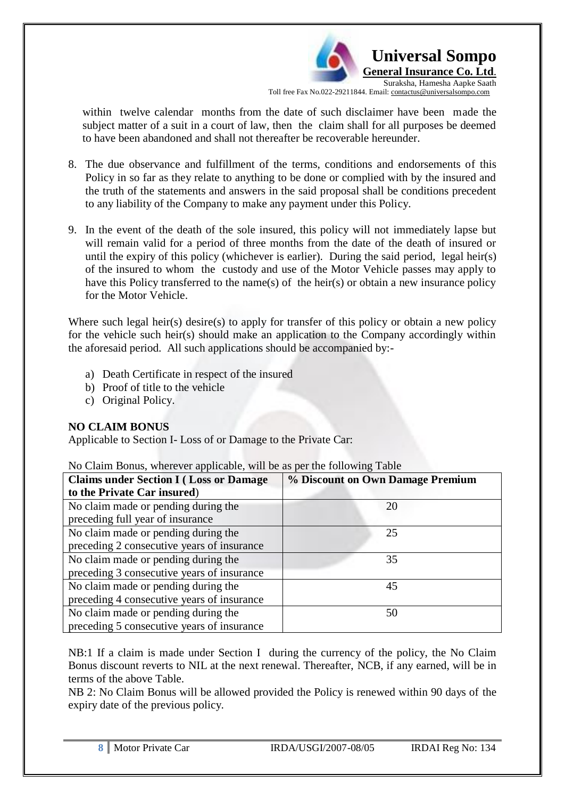

within twelve calendar months from the date of such disclaimer have been made the subject matter of a suit in a court of law, then the claim shall for all purposes be deemed to have been abandoned and shall not thereafter be recoverable hereunder.

- 8. The due observance and fulfillment of the terms, conditions and endorsements of this Policy in so far as they relate to anything to be done or complied with by the insured and the truth of the statements and answers in the said proposal shall be conditions precedent to any liability of the Company to make any payment under this Policy.
- 9. In the event of the death of the sole insured, this policy will not immediately lapse but will remain valid for a period of three months from the date of the death of insured or until the expiry of this policy (whichever is earlier). During the said period, legal heir(s) of the insured to whom the custody and use of the Motor Vehicle passes may apply to have this Policy transferred to the name(s) of the heir(s) or obtain a new insurance policy for the Motor Vehicle.

Where such legal heir(s) desire(s) to apply for transfer of this policy or obtain a new policy for the vehicle such heir(s) should make an application to the Company accordingly within the aforesaid period. All such applications should be accompanied by:-

- a) Death Certificate in respect of the insured
- b) Proof of title to the vehicle
- c) Original Policy.

## **NO CLAIM BONUS**

Applicable to Section I- Loss of or Damage to the Private Car:

No Claim Bonus, wherever applicable, will be as per the following Table

| <b>Claims under Section I (Loss or Damage)</b> | % Discount on Own Damage Premium |  |
|------------------------------------------------|----------------------------------|--|
| to the Private Car insured)                    |                                  |  |
| No claim made or pending during the            | 20                               |  |
| preceding full year of insurance               |                                  |  |
| No claim made or pending during the            | 25                               |  |
| preceding 2 consecutive years of insurance     |                                  |  |
| No claim made or pending during the            | 35                               |  |
| preceding 3 consecutive years of insurance     |                                  |  |
| No claim made or pending during the            | 45                               |  |
| preceding 4 consecutive years of insurance     |                                  |  |
| No claim made or pending during the            | 50                               |  |
| preceding 5 consecutive years of insurance     |                                  |  |

NB:1 If a claim is made under Section I during the currency of the policy, the No Claim Bonus discount reverts to NIL at the next renewal. Thereafter, NCB, if any earned, will be in terms of the above Table.

NB 2: No Claim Bonus will be allowed provided the Policy is renewed within 90 days of the expiry date of the previous policy.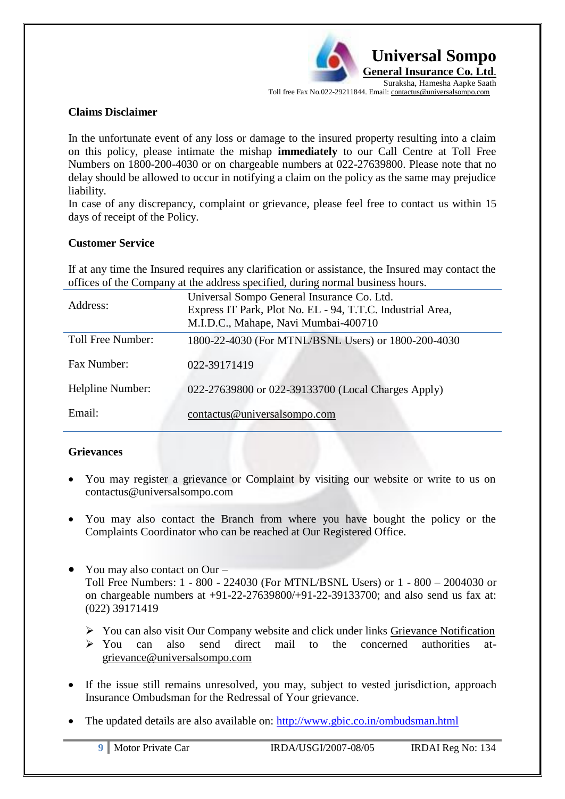

#### **Claims Disclaimer**

In the unfortunate event of any loss or damage to the insured property resulting into a claim on this policy, please intimate the mishap **immediately** to our Call Centre at Toll Free Numbers on 1800-200-4030 or on chargeable numbers at 022-27639800. Please note that no delay should be allowed to occur in notifying a claim on the policy as the same may prejudice liability.

In case of any discrepancy, complaint or grievance, please feel free to contact us within 15 days of receipt of the Policy.

#### **Customer Service**

If at any time the Insured requires any clarification or assistance, the Insured may contact the offices of the Company at the address specified, during normal business hours.

| Address:          | Universal Sompo General Insurance Co. Ltd.<br>Express IT Park, Plot No. EL - 94, T.T.C. Industrial Area,<br>M.I.D.C., Mahape, Navi Mumbai-400710 |
|-------------------|--------------------------------------------------------------------------------------------------------------------------------------------------|
| Toll Free Number: | 1800-22-4030 (For MTNL/BSNL Users) or 1800-200-4030                                                                                              |
|                   |                                                                                                                                                  |
| Fax Number:       | 022-39171419                                                                                                                                     |
|                   |                                                                                                                                                  |
| Helpline Number:  | 022-27639800 or 022-39133700 (Local Charges Apply)                                                                                               |
|                   |                                                                                                                                                  |
| Email:            | contactus@universalsompo.com                                                                                                                     |
|                   |                                                                                                                                                  |

## **Grievances**

- You may register a grievance or Complaint by visiting our website or write to us on [contactus@universalsompo.com](mailto:contactus@universalsompo.com)
- You may also contact the Branch from where you have bought the policy or the Complaints Coordinator who can be reached at Our Registered Office.
- You may also contact on Our Toll Free Numbers: 1 - 800 - 224030 (For MTNL/BSNL Users) or 1 - 800 – 2004030 or on chargeable numbers at +91-22-27639800/+91-22-39133700; and also send us fax at: (022) 39171419
	- $\triangleright$  You can also visit Our Company website and click under links Grievance Notification
	- $\geq$  You can also send direct mail to the concerned authorities at[grievance@universalsompo.com](mailto:grievance@universalsompo.com)
- If the issue still remains unresolved, you may, subject to vested jurisdiction, approach Insurance Ombudsman for the Redressal of Your grievance.
- The updated details are also available on:<http://www.gbic.co.in/ombudsman.html>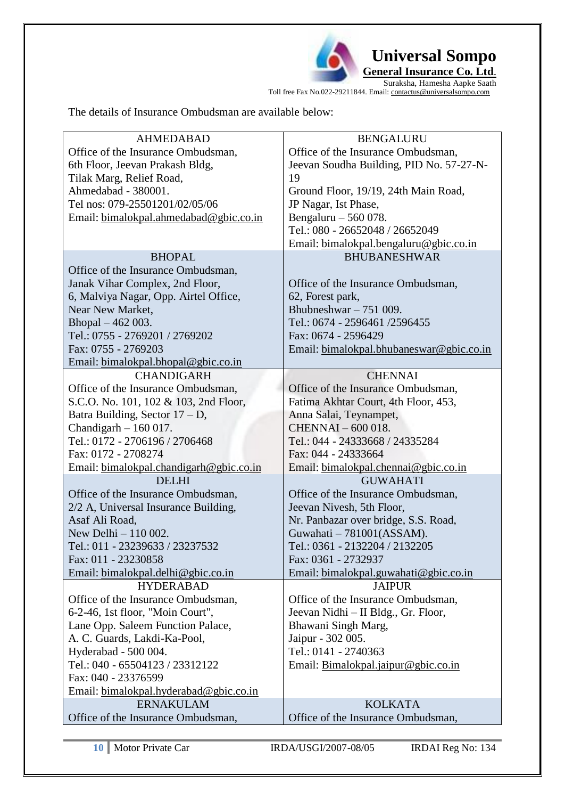

**General Insurance Co. Ltd**.

Suraksha, Hamesha Aapke Saath Toll free Fax No.022-29211844. Email: contactus@universalsompo.com

The details of Insurance Ombudsman are available below:

| <b>AHMEDABAD</b>                        | <b>BENGALURU</b>                         |  |  |
|-----------------------------------------|------------------------------------------|--|--|
| Office of the Insurance Ombudsman,      | Office of the Insurance Ombudsman,       |  |  |
| 6th Floor, Jeevan Prakash Bldg,         | Jeevan Soudha Building, PID No. 57-27-N- |  |  |
| Tilak Marg, Relief Road,                | 19                                       |  |  |
| Ahmedabad - 380001.                     | Ground Floor, 19/19, 24th Main Road,     |  |  |
| Tel nos: 079-25501201/02/05/06          | JP Nagar, Ist Phase,                     |  |  |
| Email: bimalokpal.ahmedabad@gbic.co.in  | Bengaluru $-560078$ .                    |  |  |
|                                         | Tel.: 080 - 26652048 / 26652049          |  |  |
|                                         | Email: bimalokpal.bengaluru@gbic.co.in   |  |  |
| <b>BHOPAL</b>                           | <b>BHUBANESHWAR</b>                      |  |  |
| Office of the Insurance Ombudsman,      |                                          |  |  |
| Janak Vihar Complex, 2nd Floor,         | Office of the Insurance Ombudsman,       |  |  |
| 6, Malviya Nagar, Opp. Airtel Office,   | 62, Forest park,                         |  |  |
| Near New Market,                        | Bhubneshwar $-751009$ .                  |  |  |
| Bhopal - 462 003.                       | Tel.: 0674 - 2596461 /2596455            |  |  |
| Tel.: 0755 - 2769201 / 2769202          | Fax: 0674 - 2596429                      |  |  |
| Fax: 0755 - 2769203                     | Email: bimalokpal.bhubaneswar@gbic.co.in |  |  |
| Email: bimalokpal.bhopal@gbic.co.in     |                                          |  |  |
| <b>CHANDIGARH</b>                       | <b>CHENNAI</b>                           |  |  |
| Office of the Insurance Ombudsman,      | Office of the Insurance Ombudsman,       |  |  |
| S.C.O. No. 101, 102 & 103, 2nd Floor,   | Fatima Akhtar Court, 4th Floor, 453,     |  |  |
| Batra Building, Sector $17 - D$ ,       | Anna Salai, Teynampet,                   |  |  |
| Chandigarh $-160017$ .                  | <b>CHENNAI-600018.</b>                   |  |  |
| Tel.: 0172 - 2706196 / 2706468          | Tel.: 044 - 24333668 / 24335284          |  |  |
| Fax: 0172 - 2708274                     | Fax: 044 - 24333664                      |  |  |
| Email: bimalokpal.chandigarh@gbic.co.in | Email: bimalokpal.chennai@gbic.co.in     |  |  |
| <b>DELHI</b>                            | <b>GUWAHATI</b>                          |  |  |
| Office of the Insurance Ombudsman,      | Office of the Insurance Ombudsman,       |  |  |
| 2/2 A, Universal Insurance Building,    | Jeevan Nivesh, 5th Floor,                |  |  |
| Asaf Ali Road,                          | Nr. Panbazar over bridge, S.S. Road,     |  |  |
| New Delhi - 110 002.                    | Guwahati - 781001(ASSAM).                |  |  |
| Tel.: 011 - 23239633 / 23237532         | Tel.: 0361 - 2132204 / 2132205           |  |  |
| Fax: 011 - 23230858                     | Fax: 0361 - 2732937                      |  |  |
| Email: bimalokpal.delhi@gbic.co.in      | Email: bimalokpal.guwahati@gbic.co.in    |  |  |
| <b>HYDERABAD</b>                        | <b>JAIPUR</b>                            |  |  |
| Office of the Insurance Ombudsman,      | Office of the Insurance Ombudsman,       |  |  |
| 6-2-46, 1st floor, "Moin Court",        | Jeevan Nidhi - II Bldg., Gr. Floor,      |  |  |
| Lane Opp. Saleem Function Palace,       | Bhawani Singh Marg,                      |  |  |
| A. C. Guards, Lakdi-Ka-Pool,            | Jaipur - 302 005.                        |  |  |
| Hyderabad - 500 004.                    | Tel.: 0141 - 2740363                     |  |  |
| Tel.: 040 - 65504123 / 23312122         | Email: Bimalokpal.jaipur@gbic.co.in      |  |  |
| Fax: 040 - 23376599                     |                                          |  |  |
| Email: bimalokpal.hyderabad@gbic.co.in  |                                          |  |  |
| <b>ERNAKULAM</b>                        | <b>KOLKATA</b>                           |  |  |
| Office of the Insurance Ombudsman,      | Office of the Insurance Ombudsman,       |  |  |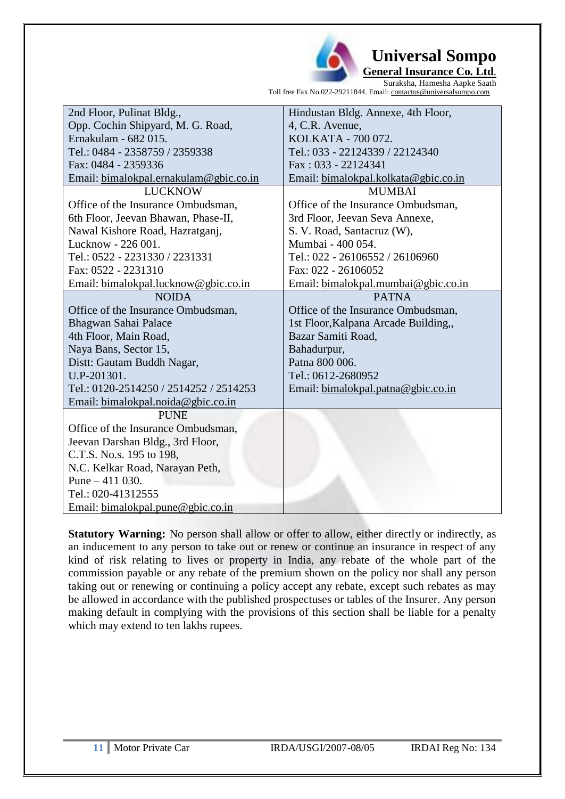

 **Universal Sompo General Insurance Co. Ltd**.

Suraksha, Hamesha Aapke Saath Toll free Fax No.022-29211844. Email: contactus@universalsompo.com

| 2nd Floor, Pulinat Bldg.,              | Hindustan Bldg. Annexe, 4th Floor,   |
|----------------------------------------|--------------------------------------|
| Opp. Cochin Shipyard, M. G. Road,      | 4, C.R. Avenue,                      |
| Ernakulam - 682 015.                   | KOLKATA - 700 072.                   |
| Tel.: 0484 - 2358759 / 2359338         | Tel.: 033 - 22124339 / 22124340      |
| Fax: 0484 - 2359336                    | Fax: 033 - 22124341                  |
| Email: bimalokpal.ernakulam@gbic.co.in | Email: bimalokpal.kolkata@gbic.co.in |
| <b>LUCKNOW</b>                         | <b>MUMBAI</b>                        |
| Office of the Insurance Ombudsman,     | Office of the Insurance Ombudsman,   |
| 6th Floor, Jeevan Bhawan, Phase-II,    | 3rd Floor, Jeevan Seva Annexe,       |
| Nawal Kishore Road, Hazratganj,        | S. V. Road, Santacruz (W),           |
| Lucknow - 226 001.                     | Mumbai - 400 054.                    |
| Tel.: 0522 - 2231330 / 2231331         | Tel.: 022 - 26106552 / 26106960      |
| Fax: 0522 - 2231310                    | Fax: 022 - 26106052                  |
| Email: bimalokpal.lucknow@gbic.co.in   | Email: bimalokpal.mumbai@gbic.co.in  |
| <b>NOIDA</b>                           | <b>PATNA</b>                         |
| Office of the Insurance Ombudsman,     | Office of the Insurance Ombudsman,   |
| Bhagwan Sahai Palace                   | 1st Floor, Kalpana Arcade Building,, |
| 4th Floor, Main Road,                  | Bazar Samiti Road,                   |
| Naya Bans, Sector 15,                  | Bahadurpur,                          |
| Distt: Gautam Buddh Nagar,             | Patna 800 006.                       |
| U.P-201301.                            | Tel.: 0612-2680952                   |
| Tel.: 0120-2514250 / 2514252 / 2514253 | Email: bimalokpal.patna@gbic.co.in   |
| Email: bimalokpal.noida@gbic.co.in     |                                      |
| <b>PUNE</b>                            |                                      |
| Office of the Insurance Ombudsman,     |                                      |
| Jeevan Darshan Bldg., 3rd Floor,       |                                      |
| C.T.S. No.s. 195 to 198,               |                                      |
| N.C. Kelkar Road, Narayan Peth,        |                                      |
| Pune $-411$ 030.                       |                                      |
| Tel.: 020-41312555                     |                                      |
| Email: bimalokpal.pune@gbic.co.in      |                                      |

**Statutory Warning:** No person shall allow or offer to allow, either directly or indirectly, as an inducement to any person to take out or renew or continue an insurance in respect of any kind of risk relating to lives or property in India, any rebate of the whole part of the commission payable or any rebate of the premium shown on the policy nor shall any person taking out or renewing or continuing a policy accept any rebate, except such rebates as may be allowed in accordance with the published prospectuses or tables of the Insurer. Any person making default in complying with the provisions of this section shall be liable for a penalty which may extend to ten lakhs rupees.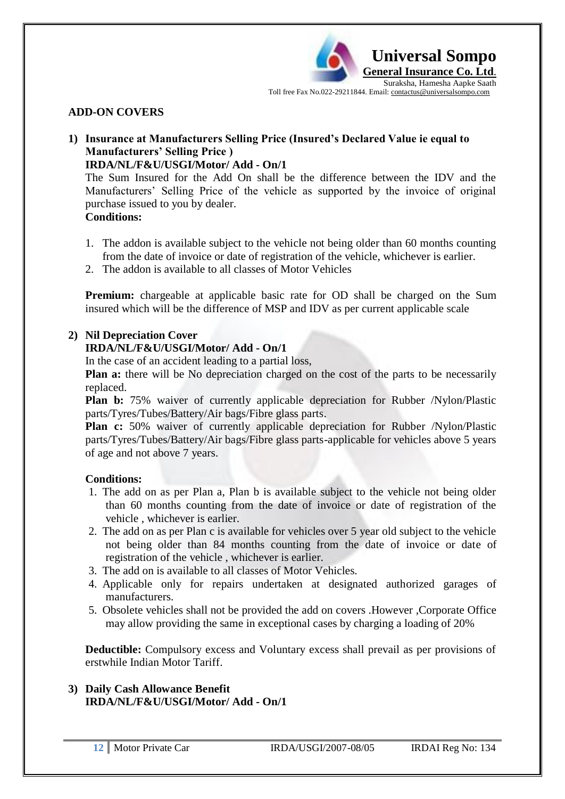

#### **ADD-ON COVERS**

# **1) Insurance at Manufacturers Selling Price (Insured's Declared Value ie equal to Manufacturers' Selling Price )**

#### **IRDA/NL/F&U/USGI/Motor/ Add - On/1**

The Sum Insured for the Add On shall be the difference between the IDV and the Manufacturers" Selling Price of the vehicle as supported by the invoice of original purchase issued to you by dealer. **Conditions:**

- 1. The addon is available subject to the vehicle not being older than 60 months counting from the date of invoice or date of registration of the vehicle, whichever is earlier.
- 2. The addon is available to all classes of Motor Vehicles

**Premium:** chargeable at applicable basic rate for OD shall be charged on the Sum insured which will be the difference of MSP and IDV as per current applicable scale

#### **2) Nil Depreciation Cover**

#### **IRDA/NL/F&U/USGI/Motor/ Add - On/1**

In the case of an accident leading to a partial loss,

**Plan a:** there will be No depreciation charged on the cost of the parts to be necessarily replaced.

**Plan b:** 75% waiver of currently applicable depreciation for Rubber /Nylon/Plastic parts/Tyres/Tubes/Battery/Air bags/Fibre glass parts.

**Plan c:** 50% waiver of currently applicable depreciation for Rubber /Nylon/Plastic parts/Tyres/Tubes/Battery/Air bags/Fibre glass parts-applicable for vehicles above 5 years of age and not above 7 years.

#### **Conditions:**

- 1. The add on as per Plan a, Plan b is available subject to the vehicle not being older than 60 months counting from the date of invoice or date of registration of the vehicle , whichever is earlier.
- 2. The add on as per Plan c is available for vehicles over 5 year old subject to the vehicle not being older than 84 months counting from the date of invoice or date of registration of the vehicle , whichever is earlier.
- 3. The add on is available to all classes of Motor Vehicles.
- 4. Applicable only for repairs undertaken at designated authorized garages of manufacturers.
- 5. Obsolete vehicles shall not be provided the add on covers .However ,Corporate Office may allow providing the same in exceptional cases by charging a loading of 20%

**Deductible:** Compulsory excess and Voluntary excess shall prevail as per provisions of erstwhile Indian Motor Tariff.

**3) Daily Cash Allowance Benefit IRDA/NL/F&U/USGI/Motor/ Add - On/1**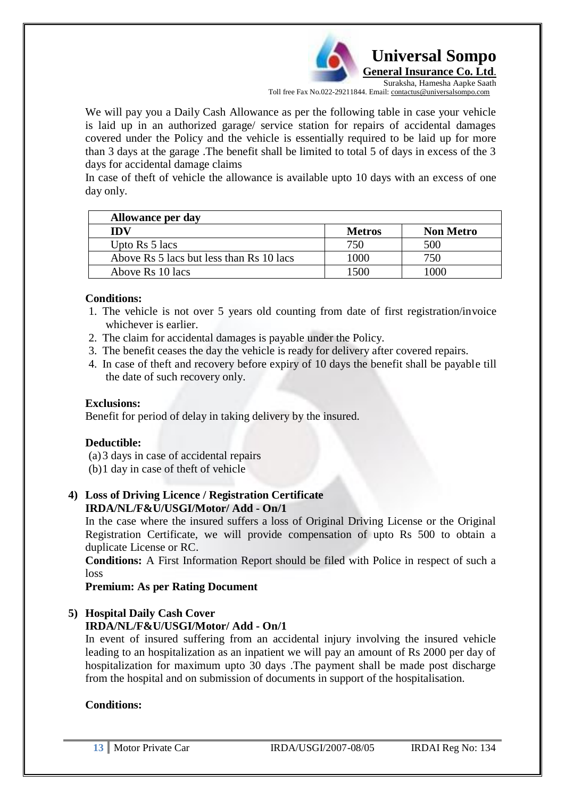

We will pay you a Daily Cash Allowance as per the following table in case your vehicle is laid up in an authorized garage/ service station for repairs of accidental damages covered under the Policy and the vehicle is essentially required to be laid up for more than 3 days at the garage .The benefit shall be limited to total 5 of days in excess of the 3 days for accidental damage claims

In case of theft of vehicle the allowance is available upto 10 days with an excess of one day only.

| Allowance per day                        |               |                  |
|------------------------------------------|---------------|------------------|
| IDV                                      | <b>Metros</b> | <b>Non Metro</b> |
| Upto $\operatorname{Rs} 5$ lacs          | 750           | 500              |
| Above Rs 5 lacs but less than Rs 10 lacs | 1000          | 750              |
| Above Rs 10 lacs                         | 1500          |                  |

#### **Conditions:**

- 1. The vehicle is not over 5 years old counting from date of first registration/invoice whichever is earlier.
- 2. The claim for accidental damages is payable under the Policy.
- 3. The benefit ceases the day the vehicle is ready for delivery after covered repairs.
- 4. In case of theft and recovery before expiry of 10 days the benefit shall be payable till the date of such recovery only.

#### **Exclusions:**

Benefit for period of delay in taking delivery by the insured.

#### **Deductible:**

(a)3 days in case of accidental repairs

(b)1 day in case of theft of vehicle

#### **4) Loss of Driving Licence / Registration Certificate IRDA/NL/F&U/USGI/Motor/ Add - On/1**

In the case where the insured suffers a loss of Original Driving License or the Original Registration Certificate, we will provide compensation of upto Rs 500 to obtain a duplicate License or RC.

**Conditions:** A First Information Report should be filed with Police in respect of such a loss

#### **Premium: As per Rating Document**

#### **5) Hospital Daily Cash Cover IRDA/NL/F&U/USGI/Motor/ Add - On/1**

In event of insured suffering from an accidental injury involving the insured vehicle leading to an hospitalization as an inpatient we will pay an amount of Rs 2000 per day of hospitalization for maximum upto 30 days .The payment shall be made post discharge from the hospital and on submission of documents in support of the hospitalisation.

#### **Conditions:**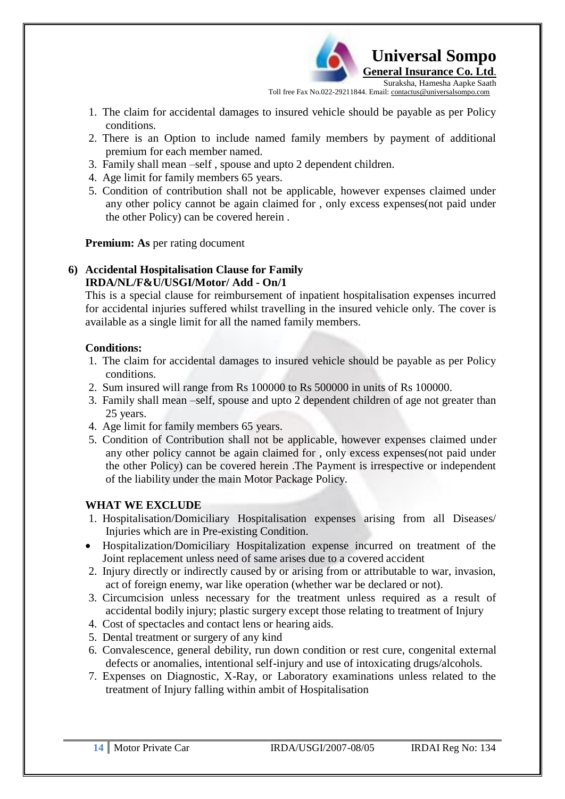

- 1. The claim for accidental damages to insured vehicle should be payable as per Policy conditions.
- 2. There is an Option to include named family members by payment of additional premium for each member named.
- 3. Family shall mean –self , spouse and upto 2 dependent children.
- 4. Age limit for family members 65 years.
- 5. Condition of contribution shall not be applicable, however expenses claimed under any other policy cannot be again claimed for , only excess expenses(not paid under the other Policy) can be covered herein .

**Premium: As** per rating document

# **6) Accidental Hospitalisation Clause for Family IRDA/NL/F&U/USGI/Motor/ Add - On/1**

This is a special clause for reimbursement of inpatient hospitalisation expenses incurred for accidental injuries suffered whilst travelling in the insured vehicle only. The cover is available as a single limit for all the named family members.

# **Conditions:**

- 1. The claim for accidental damages to insured vehicle should be payable as per Policy conditions.
- 2. Sum insured will range from Rs 100000 to Rs 500000 in units of Rs 100000.
- 3. Family shall mean –self, spouse and upto 2 dependent children of age not greater than 25 years.
- 4. Age limit for family members 65 years.
- 5. Condition of Contribution shall not be applicable, however expenses claimed under any other policy cannot be again claimed for , only excess expenses(not paid under the other Policy) can be covered herein .The Payment is irrespective or independent of the liability under the main Motor Package Policy.

# **WHAT WE EXCLUDE**

- 1. Hospitalisation/Domiciliary Hospitalisation expenses arising from all Diseases/ Injuries which are in Pre-existing Condition.
- Hospitalization/Domiciliary Hospitalization expense incurred on treatment of the Joint replacement unless need of same arises due to a covered accident
- 2. Injury directly or indirectly caused by or arising from or attributable to war, invasion, act of foreign enemy, war like operation (whether war be declared or not).
- 3. Circumcision unless necessary for the treatment unless required as a result of accidental bodily injury; plastic surgery except those relating to treatment of Injury
- 4. Cost of spectacles and contact lens or hearing aids.
- 5. Dental treatment or surgery of any kind
- 6. Convalescence, general debility, run down condition or rest cure, congenital external defects or anomalies, intentional self-injury and use of intoxicating drugs/alcohols.
- 7. Expenses on Diagnostic, X-Ray, or Laboratory examinations unless related to the treatment of Injury falling within ambit of Hospitalisation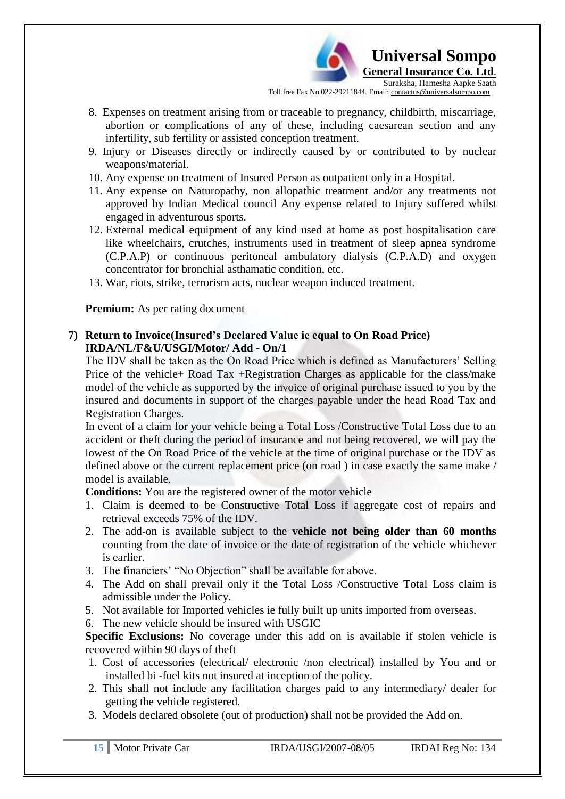

- 8. Expenses on treatment arising from or traceable to pregnancy, childbirth, miscarriage, abortion or complications of any of these, including caesarean section and any infertility, sub fertility or assisted conception treatment.
- 9. Injury or Diseases directly or indirectly caused by or contributed to by nuclear weapons/material.
- 10. Any expense on treatment of Insured Person as outpatient only in a Hospital.
- 11. Any expense on Naturopathy, non allopathic treatment and/or any treatments not approved by Indian Medical council Any expense related to Injury suffered whilst engaged in adventurous sports.
- 12. External medical equipment of any kind used at home as post hospitalisation care like wheelchairs, crutches, instruments used in treatment of sleep apnea syndrome (C.P.A.P) or continuous peritoneal ambulatory dialysis (C.P.A.D) and oxygen concentrator for bronchial asthamatic condition, etc.
- 13. War, riots, strike, terrorism acts, nuclear weapon induced treatment.

**Premium:** As per rating document

#### **7) Return to Invoice(Insured's Declared Value ie equal to On Road Price) IRDA/NL/F&U/USGI/Motor/ Add - On/1**

The IDV shall be taken as the On Road Price which is defined as Manufacturers" Selling Price of the vehicle+ Road Tax +Registration Charges as applicable for the class/make model of the vehicle as supported by the invoice of original purchase issued to you by the insured and documents in support of the charges payable under the head Road Tax and Registration Charges.

In event of a claim for your vehicle being a Total Loss /Constructive Total Loss due to an accident or theft during the period of insurance and not being recovered, we will pay the lowest of the On Road Price of the vehicle at the time of original purchase or the IDV as defined above or the current replacement price (on road ) in case exactly the same make / model is available.

**Conditions:** You are the registered owner of the motor vehicle

- 1. Claim is deemed to be Constructive Total Loss if aggregate cost of repairs and retrieval exceeds 75% of the IDV.
- 2. The add-on is available subject to the **vehicle not being older than 60 months**  counting from the date of invoice or the date of registration of the vehicle whichever is earlier.
- 3. The financiers' "No Objection" shall be available for above.
- 4. The Add on shall prevail only if the Total Loss /Constructive Total Loss claim is admissible under the Policy.
- 5. Not available for Imported vehicles ie fully built up units imported from overseas.
- 6. The new vehicle should be insured with USGIC

**Specific Exclusions:** No coverage under this add on is available if stolen vehicle is recovered within 90 days of theft

- 1. Cost of accessories (electrical/ electronic /non electrical) installed by You and or installed bi -fuel kits not insured at inception of the policy.
- 2. This shall not include any facilitation charges paid to any intermediary/ dealer for getting the vehicle registered.
- 3. Models declared obsolete (out of production) shall not be provided the Add on.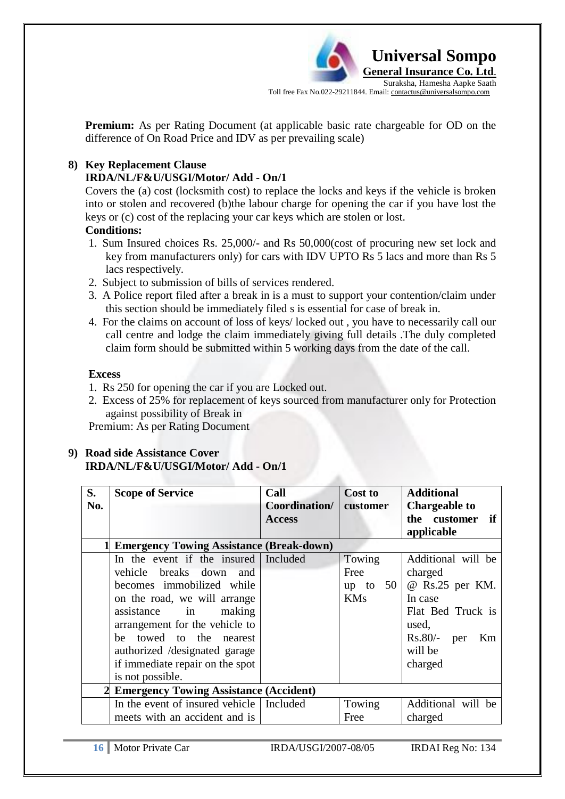

**Premium:** As per Rating Document (at applicable basic rate chargeable for OD on the difference of On Road Price and IDV as per prevailing scale)

## **8) Key Replacement Clause**

## **IRDA/NL/F&U/USGI/Motor/ Add - On/1**

Covers the (a) cost (locksmith cost) to replace the locks and keys if the vehicle is broken into or stolen and recovered (b)the labour charge for opening the car if you have lost the keys or (c) cost of the replacing your car keys which are stolen or lost.

## **Conditions:**

- 1. Sum Insured choices Rs. 25,000/- and Rs 50,000(cost of procuring new set lock and key from manufacturers only) for cars with IDV UPTO Rs 5 lacs and more than Rs 5 lacs respectively.
- 2. Subject to submission of bills of services rendered.
- 3. A Police report filed after a break in is a must to support your contention/claim under this section should be immediately filed s is essential for case of break in.
- 4. For the claims on account of loss of keys/ locked out , you have to necessarily call our call centre and lodge the claim immediately giving full details .The duly completed claim form should be submitted within 5 working days from the date of the call.

#### **Excess**

- 1. Rs 250 for opening the car if you are Locked out.
- 2. Excess of 25% for replacement of keys sourced from manufacturer only for Protection against possibility of Break in

Premium: As per Rating Document

# **9) Road side Assistance Cover IRDA/NL/F&U/USGI/Motor/ Add - On/1**

| S.                                       | <b>Scope of Service</b>                    | Call          | <b>Cost to</b> | <b>Additional</b>    |
|------------------------------------------|--------------------------------------------|---------------|----------------|----------------------|
| No.                                      |                                            | Coordination/ | customer       | <b>Chargeable to</b> |
|                                          |                                            | <b>Access</b> |                | the customer if      |
|                                          |                                            |               |                | applicable           |
|                                          | 1 Emergency Towing Assistance (Break-down) |               |                |                      |
|                                          | In the event if the insured                | Included      | Towing         | Additional will be   |
|                                          | vehicle breaks down<br>and                 |               | Free           | charged              |
|                                          | becomes immobilized while                  |               | up to $50$     | @ Rs.25 per KM.      |
|                                          | on the road, we will arrange               |               | <b>KMs</b>     | In case              |
|                                          | making<br>assistance in                    |               |                | Flat Bed Truck is    |
|                                          | arrangement for the vehicle to             |               |                | used,                |
|                                          | towed to the nearest<br>he                 |               |                | $Rs.80/-$ per<br>Km  |
|                                          | authorized /designated garage              |               |                | will be              |
|                                          | if immediate repair on the spot            |               |                | charged              |
|                                          | is not possible.                           |               |                |                      |
| 2 Emergency Towing Assistance (Accident) |                                            |               |                |                      |
|                                          | In the event of insured vehicle   Included |               | Towing         | Additional will be   |
|                                          | meets with an accident and is              |               | Free           | charged              |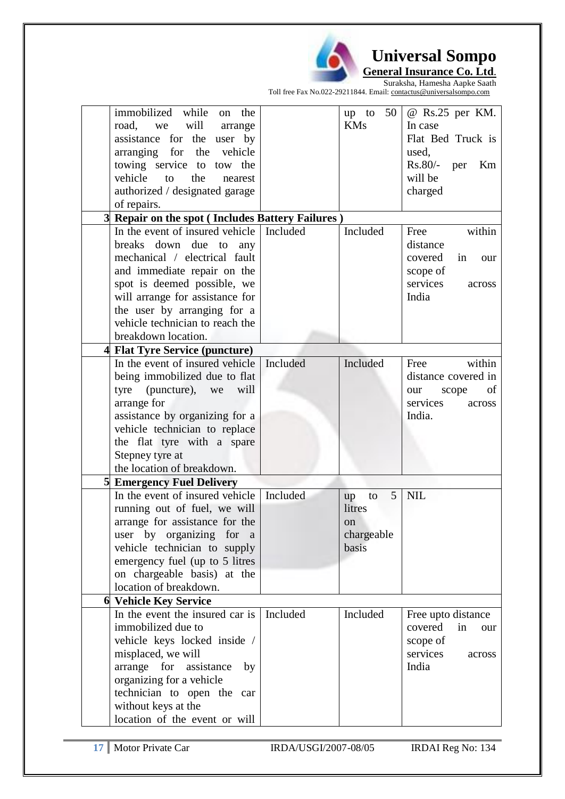

*<u><b> L* Universal Sompo</u> **General Insurance Co. Ltd**.

Suraksha, Hamesha Aapke Saath Toll free Fax No.022-29211844. Email: contactus@universalsompo.com

|   | immobilized while on<br>the                           |          | 50<br>up to   | @ Rs.25 per KM.      |
|---|-------------------------------------------------------|----------|---------------|----------------------|
|   | will<br>road,<br>we<br>arrange                        |          | <b>KMs</b>    | In case              |
|   | assistance for the user by                            |          |               | Flat Bed Truck is    |
|   | arranging for the<br>vehicle                          |          |               | used.                |
|   | towing service to tow the                             |          |               | $Rs.80/-$ per<br>Km  |
|   | vehicle<br>to<br>the<br>nearest                       |          |               | will be              |
|   | authorized / designated garage                        |          |               | charged              |
|   | of repairs.                                           |          |               |                      |
|   | <b>Repair on the spot (Includes Battery Failures)</b> |          |               |                      |
|   | In the event of insured vehicle                       | Included | Included      | Free<br>within       |
|   | breaks down due to<br>any                             |          |               | distance             |
|   | mechanical / electrical fault                         |          |               | covered<br>in<br>our |
|   | and immediate repair on the                           |          |               | scope of             |
|   | spot is deemed possible, we                           |          |               | services<br>across   |
|   | will arrange for assistance for                       |          |               | India                |
|   | the user by arranging for a                           |          |               |                      |
|   | vehicle technician to reach the                       |          |               |                      |
|   | breakdown location.                                   |          |               |                      |
| 4 | <b>Flat Tyre Service (puncture)</b>                   |          |               |                      |
|   | In the event of insured vehicle                       | Included | Included      | within<br>Free       |
|   | being immobilized due to flat                         |          |               | distance covered in  |
|   | tyre (puncture), we<br>will                           |          |               | of<br>scope<br>our   |
|   | arrange for                                           |          |               | services<br>across   |
|   | assistance by organizing for a                        |          |               | India.               |
|   | vehicle technician to replace                         |          |               |                      |
|   | the flat tyre with a spare                            |          |               |                      |
|   | Stepney tyre at                                       |          |               |                      |
|   | the location of breakdown.                            |          |               |                      |
| 5 | <b>Emergency Fuel Delivery</b>                        |          |               |                      |
|   | In the event of insured vehicle                       | Included | 5<br>to<br>up | <b>NIL</b>           |
|   | running out of fuel, we will                          |          | litres        |                      |
|   | arrange for assistance for the                        |          | on            |                      |
|   | user by organizing for<br><sub>a</sub>                |          | chargeable    |                      |
|   | vehicle technician to supply                          |          | basis         |                      |
|   | emergency fuel (up to 5 litres                        |          |               |                      |
|   | on chargeable basis) at the                           |          |               |                      |
|   | location of breakdown.                                |          |               |                      |
|   | <b>6 Vehicle Key Service</b>                          |          |               |                      |
|   | In the event the insured car is                       | Included | Included      | Free upto distance   |
|   | immobilized due to                                    |          |               | covered<br>in<br>our |
|   | vehicle keys locked inside /                          |          |               | scope of             |
|   | misplaced, we will                                    |          |               | services<br>across   |
|   | arrange for<br>assistance<br>by                       |          |               | India                |
|   | organizing for a vehicle                              |          |               |                      |
|   | technician to open the car                            |          |               |                      |
|   | without keys at the                                   |          |               |                      |
|   | location of the event or will                         |          |               |                      |
|   |                                                       |          |               |                      |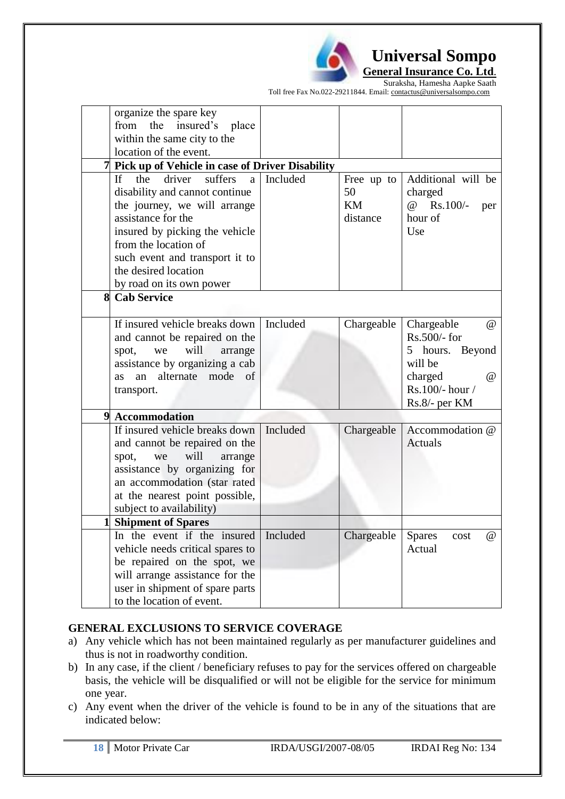

Suraksha, Hamesha Aapke Saath Toll free Fax No.022-29211844. Email: contactus@universalsompo.com

| organize the spare key<br>from<br>the<br>insured's<br>place                                                                                                                                                                                                                   |                                                                                                                                                                                                                                 |          |                                    |                                                                                                                              |
|-------------------------------------------------------------------------------------------------------------------------------------------------------------------------------------------------------------------------------------------------------------------------------|---------------------------------------------------------------------------------------------------------------------------------------------------------------------------------------------------------------------------------|----------|------------------------------------|------------------------------------------------------------------------------------------------------------------------------|
|                                                                                                                                                                                                                                                                               | within the same city to the                                                                                                                                                                                                     |          |                                    |                                                                                                                              |
|                                                                                                                                                                                                                                                                               | location of the event.                                                                                                                                                                                                          |          |                                    |                                                                                                                              |
|                                                                                                                                                                                                                                                                               | 7 Pick up of Vehicle in case of Driver Disability                                                                                                                                                                               |          |                                    |                                                                                                                              |
| suffers<br>driver<br>the<br>a<br>If F<br>disability and cannot continue<br>the journey, we will arrange<br>assistance for the<br>insured by picking the vehicle<br>from the location of<br>such event and transport it to<br>the desired location<br>by road on its own power |                                                                                                                                                                                                                                 | Included | Free up to<br>50<br>KM<br>distance | Additional will be<br>charged<br>Rs.100/-<br>$\omega$<br>per<br>hour of<br>Use                                               |
| 8                                                                                                                                                                                                                                                                             | <b>Cab Service</b>                                                                                                                                                                                                              |          |                                    |                                                                                                                              |
|                                                                                                                                                                                                                                                                               | If insured vehicle breaks down<br>and cannot be repaired on the<br>will<br>spot,<br>we<br>arrange<br>assistance by organizing a cab<br>alternate<br>mode<br>of<br>an<br><b>as</b><br>transport.                                 | Included | Chargeable                         | Chargeable<br>$\omega$<br>$Rs.500/-$ for<br>5 hours. Beyond<br>will be<br>charged<br>(a)<br>Rs.100/- hour /<br>Rs.8/- per KM |
|                                                                                                                                                                                                                                                                               | 9 Accommodation                                                                                                                                                                                                                 |          |                                    |                                                                                                                              |
|                                                                                                                                                                                                                                                                               | If insured vehicle breaks down<br>and cannot be repaired on the<br>will<br>spot,<br>we<br>arrange<br>assistance by organizing for<br>an accommodation (star rated<br>at the nearest point possible,<br>subject to availability) | Included | Chargeable                         | Accommodation @<br><b>Actuals</b>                                                                                            |
|                                                                                                                                                                                                                                                                               | <b>Shipment of Spares</b>                                                                                                                                                                                                       |          |                                    |                                                                                                                              |
|                                                                                                                                                                                                                                                                               | In the event if the insured<br>vehicle needs critical spares to<br>be repaired on the spot, we<br>will arrange assistance for the<br>user in shipment of spare parts<br>to the location of event.                               | Included | Chargeable                         | <b>Spares</b><br>$^{\omega}$<br>cost<br>Actual                                                                               |

## **GENERAL EXCLUSIONS TO SERVICE COVERAGE**

- a) Any vehicle which has not been maintained regularly as per manufacturer guidelines and thus is not in roadworthy condition.
- b) In any case, if the client / beneficiary refuses to pay for the services offered on chargeable basis, the vehicle will be disqualified or will not be eligible for the service for minimum one year.
- c) Any event when the driver of the vehicle is found to be in any of the situations that are indicated below: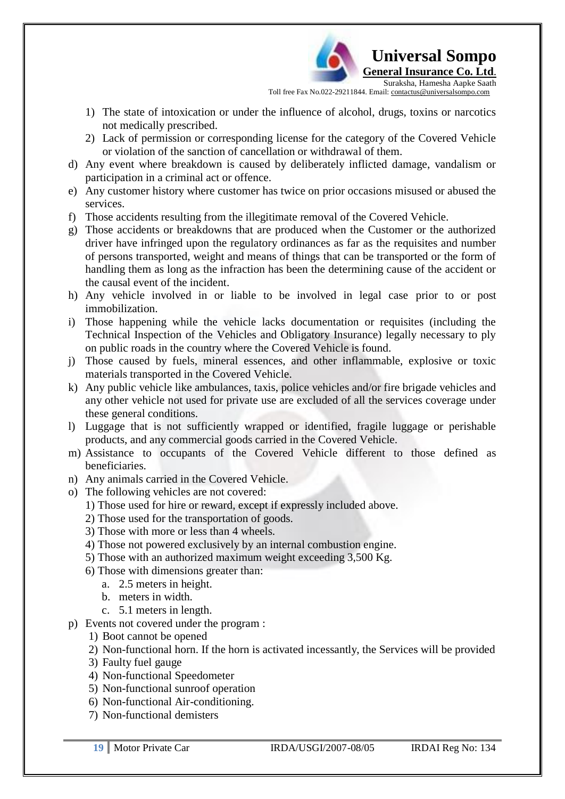

- 1) The state of intoxication or under the influence of alcohol, drugs, toxins or narcotics not medically prescribed.
- 2) Lack of permission or corresponding license for the category of the Covered Vehicle or violation of the sanction of cancellation or withdrawal of them.
- d) Any event where breakdown is caused by deliberately inflicted damage, vandalism or participation in a criminal act or offence.
- e) Any customer history where customer has twice on prior occasions misused or abused the services.
- f) Those accidents resulting from the illegitimate removal of the Covered Vehicle.
- g) Those accidents or breakdowns that are produced when the Customer or the authorized driver have infringed upon the regulatory ordinances as far as the requisites and number of persons transported, weight and means of things that can be transported or the form of handling them as long as the infraction has been the determining cause of the accident or the causal event of the incident.
- h) Any vehicle involved in or liable to be involved in legal case prior to or post immobilization.
- i) Those happening while the vehicle lacks documentation or requisites (including the Technical Inspection of the Vehicles and Obligatory Insurance) legally necessary to ply on public roads in the country where the Covered Vehicle is found.
- j) Those caused by fuels, mineral essences, and other inflammable, explosive or toxic materials transported in the Covered Vehicle.
- k) Any public vehicle like ambulances, taxis, police vehicles and/or fire brigade vehicles and any other vehicle not used for private use are excluded of all the services coverage under these general conditions.
- l) Luggage that is not sufficiently wrapped or identified, fragile luggage or perishable products, and any commercial goods carried in the Covered Vehicle.
- m) Assistance to occupants of the Covered Vehicle different to those defined as beneficiaries.
- n) Any animals carried in the Covered Vehicle.
- o) The following vehicles are not covered:
	- 1) Those used for hire or reward, except if expressly included above.
	- 2) Those used for the transportation of goods.
	- 3) Those with more or less than 4 wheels.
	- 4) Those not powered exclusively by an internal combustion engine.
	- 5) Those with an authorized maximum weight exceeding 3,500 Kg.
	- 6) Those with dimensions greater than:
		- a. 2.5 meters in height.
		- b. meters in width.
		- c. 5.1 meters in length.
- p) Events not covered under the program :
	- 1) Boot cannot be opened
	- 2) Non-functional horn. If the horn is activated incessantly, the Services will be provided
	- 3) Faulty fuel gauge
	- 4) Non-functional Speedometer
	- 5) Non-functional sunroof operation
	- 6) Non-functional Air-conditioning.
	- 7) Non-functional demisters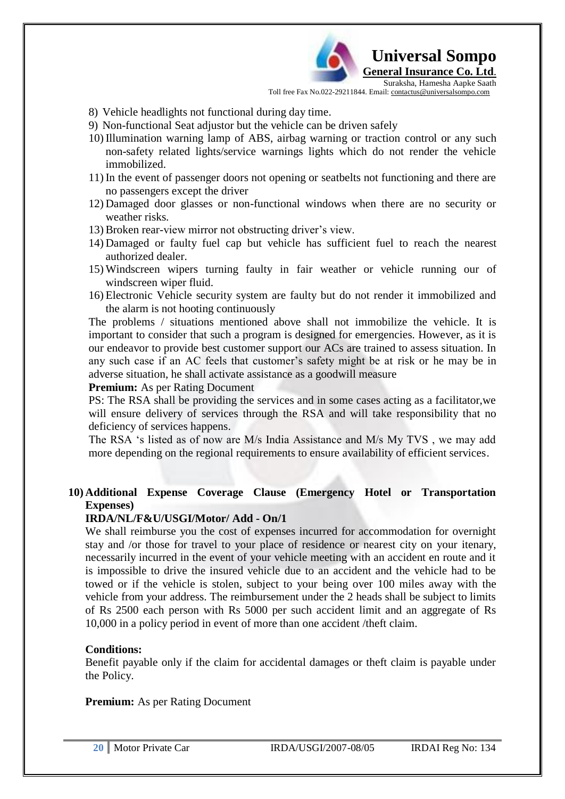

- 8) Vehicle headlights not functional during day time.
- 9) Non-functional Seat adjustor but the vehicle can be driven safely
- 10) Illumination warning lamp of ABS, airbag warning or traction control or any such non-safety related lights/service warnings lights which do not render the vehicle immobilized.
- 11) In the event of passenger doors not opening or seatbelts not functioning and there are no passengers except the driver
- 12) Damaged door glasses or non-functional windows when there are no security or weather risks.
- 13) Broken rear-view mirror not obstructing driver"s view.
- 14) Damaged or faulty fuel cap but vehicle has sufficient fuel to reach the nearest authorized dealer.
- 15) Windscreen wipers turning faulty in fair weather or vehicle running our of windscreen wiper fluid.
- 16) Electronic Vehicle security system are faulty but do not render it immobilized and the alarm is not hooting continuously

The problems / situations mentioned above shall not immobilize the vehicle. It is important to consider that such a program is designed for emergencies. However, as it is our endeavor to provide best customer support our ACs are trained to assess situation. In any such case if an AC feels that customer"s safety might be at risk or he may be in adverse situation, he shall activate assistance as a goodwill measure

**Premium:** As per Rating Document

PS: The RSA shall be providing the services and in some cases acting as a facilitator,we will ensure delivery of services through the RSA and will take responsibility that no deficiency of services happens.

The RSA "s listed as of now are M/s India Assistance and M/s My TVS , we may add more depending on the regional requirements to ensure availability of efficient services.

## **10) Additional Expense Coverage Clause (Emergency Hotel or Transportation Expenses)**

#### **IRDA/NL/F&U/USGI/Motor/ Add - On/1**

We shall reimburse you the cost of expenses incurred for accommodation for overnight stay and /or those for travel to your place of residence or nearest city on your itenary, necessarily incurred in the event of your vehicle meeting with an accident en route and it is impossible to drive the insured vehicle due to an accident and the vehicle had to be towed or if the vehicle is stolen, subject to your being over 100 miles away with the vehicle from your address. The reimbursement under the 2 heads shall be subject to limits of Rs 2500 each person with Rs 5000 per such accident limit and an aggregate of Rs 10,000 in a policy period in event of more than one accident /theft claim.

#### **Conditions:**

Benefit payable only if the claim for accidental damages or theft claim is payable under the Policy.

#### **Premium:** As per Rating Document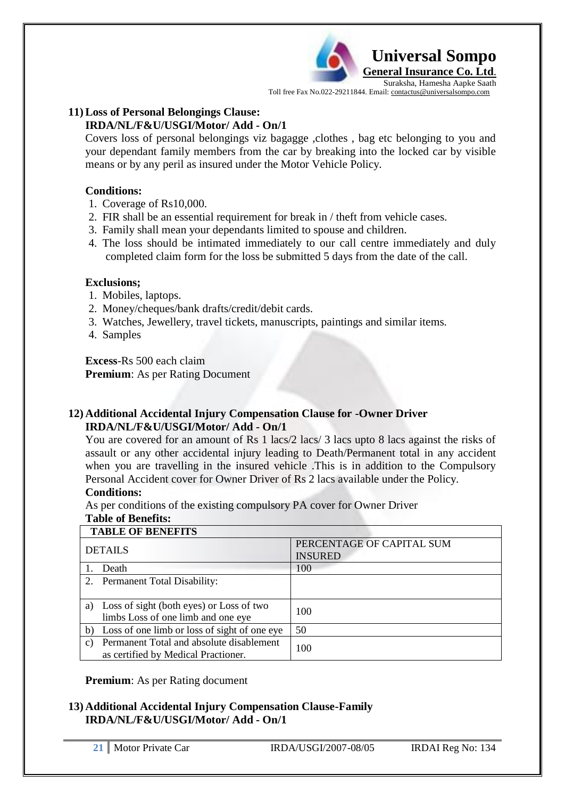

#### **11) Loss of Personal Belongings Clause: IRDA/NL/F&U/USGI/Motor/ Add - On/1**

Covers loss of personal belongings viz bagagge ,clothes , bag etc belonging to you and your dependant family members from the car by breaking into the locked car by visible means or by any peril as insured under the Motor Vehicle Policy.

#### **Conditions:**

- 1. Coverage of Rs10,000.
- 2. FIR shall be an essential requirement for break in / theft from vehicle cases.
- 3. Family shall mean your dependants limited to spouse and children.
- 4. The loss should be intimated immediately to our call centre immediately and duly completed claim form for the loss be submitted 5 days from the date of the call.

#### **Exclusions;**

- 1. Mobiles, laptops.
- 2. Money/cheques/bank drafts/credit/debit cards.
- 3. Watches, Jewellery, travel tickets, manuscripts, paintings and similar items.
- 4. Samples

**Excess**-Rs 500 each claim **Premium**: As per Rating Document

#### **12) Additional Accidental Injury Compensation Clause for -Owner Driver IRDA/NL/F&U/USGI/Motor/ Add - On/1**

You are covered for an amount of Rs 1 lacs/2 lacs/ 3 lacs upto 8 lacs against the risks of assault or any other accidental injury leading to Death/Permanent total in any accident when you are travelling in the insured vehicle .This is in addition to the Compulsory Personal Accident cover for Owner Driver of Rs 2 lacs available under the Policy.

#### **Conditions:**

As per conditions of the existing compulsory PA cover for Owner Driver

#### **Table of Benefits:**

#### **TABLE OF BENEFITS**

|                | пире от регистро                                                                |                                             |  |  |  |
|----------------|---------------------------------------------------------------------------------|---------------------------------------------|--|--|--|
| <b>DETAILS</b> |                                                                                 | PERCENTAGE OF CAPITAL SUM<br><b>INSURED</b> |  |  |  |
|                | Death                                                                           | 100                                         |  |  |  |
| 2.             | <b>Permanent Total Disability:</b>                                              |                                             |  |  |  |
| a)             | Loss of sight (both eyes) or Loss of two<br>limbs Loss of one limb and one eye  | 100                                         |  |  |  |
| b)             | Loss of one limb or loss of sight of one eye                                    | 50                                          |  |  |  |
| C)             | Permanent Total and absolute disablement<br>as certified by Medical Practioner. | 100                                         |  |  |  |

**Premium**: As per Rating document

#### **13) Additional Accidental Injury Compensation Clause-Family IRDA/NL/F&U/USGI/Motor/ Add - On/1**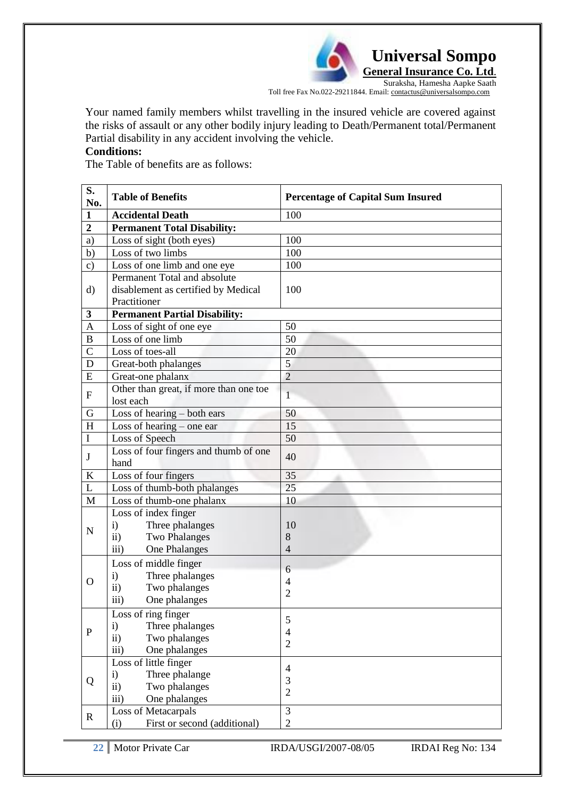*<u><b> L* Universal Sompo</u> **General Insurance Co. Ltd**.

Suraksha, Hamesha Aapke Saath Toll free Fax No.022-29211844. Email: contactus@universalsompo.com

Your named family members whilst travelling in the insured vehicle are covered against the risks of assault or any other bodily injury leading to Death/Permanent total/Permanent Partial disability in any accident involving the vehicle.

# **Conditions:**

The Table of benefits are as follows:

| S.<br>No.      | <b>Table of Benefits</b>                                                                                                  | <b>Percentage of Capital Sum Insured</b> |
|----------------|---------------------------------------------------------------------------------------------------------------------------|------------------------------------------|
| $\mathbf{1}$   | <b>Accidental Death</b>                                                                                                   | 100                                      |
| $\overline{2}$ | <b>Permanent Total Disability:</b>                                                                                        |                                          |
| a)             | Loss of sight (both eyes)                                                                                                 | 100                                      |
| b)             | Loss of two limbs                                                                                                         | 100                                      |
| $\mathbf{c})$  | Loss of one limb and one eye                                                                                              | 100                                      |
| $\rm d)$       | Permanent Total and absolute<br>disablement as certified by Medical<br>Practitioner                                       | 100                                      |
| $\mathbf{3}$   | <b>Permanent Partial Disability:</b>                                                                                      |                                          |
| $\mathbf{A}$   | Loss of sight of one eye                                                                                                  | 50                                       |
| B              | Loss of one limb                                                                                                          | 50                                       |
| $\overline{C}$ | Loss of toes-all                                                                                                          | 20                                       |
| D              | Great-both phalanges                                                                                                      | 5                                        |
| ${\bf E}$      | Great-one phalanx                                                                                                         | $\overline{2}$                           |
| ${\bf F}$      | Other than great, if more than one toe<br>lost each                                                                       | 1                                        |
| G              | Loss of hearing $-$ both ears                                                                                             | 50                                       |
| H              | Loss of hearing $-$ one ear                                                                                               | 15                                       |
| I              | Loss of Speech                                                                                                            | 50                                       |
| J              | Loss of four fingers and thumb of one<br>hand                                                                             | 40                                       |
| $\bf K$        | Loss of four fingers                                                                                                      | 35                                       |
| L              | Loss of thumb-both phalanges                                                                                              | 25                                       |
| M              | Loss of thumb-one phalanx                                                                                                 | 10                                       |
| $\mathbf N$    | Loss of index finger<br>Three phalanges<br>$\mathbf{i}$<br><b>Two Phalanges</b><br>$\mathbf{ii}$<br>One Phalanges<br>iii) | 10<br>8<br>$\overline{4}$                |
| $\Omega$       | Loss of middle finger<br>Three phalanges<br>$\mathbf{i}$<br>Two phalanges<br>$\mathbf{ii}$<br>One phalanges<br>iii)       | 6<br>$\overline{4}$<br>$\overline{2}$    |
| $\mathbf{P}$   | Loss of ring finger<br>$\mathbf{i}$<br>Three phalanges<br>Two phalanges<br>$\mathbf{ii}$<br>iii)<br>One phalanges         | 5<br>$\overline{4}$<br>$\overline{2}$    |
| Q              | Loss of little finger<br>Three phalange<br>$\mathbf{i}$<br>Two phalanges<br>$\mathbf{ii}$<br>iii)<br>One phalanges        | $\overline{4}$<br>3<br>$\overline{2}$    |
| $\mathbf R$    | Loss of Metacarpals<br>First or second (additional)<br>(i)                                                                | 3<br>$\overline{2}$                      |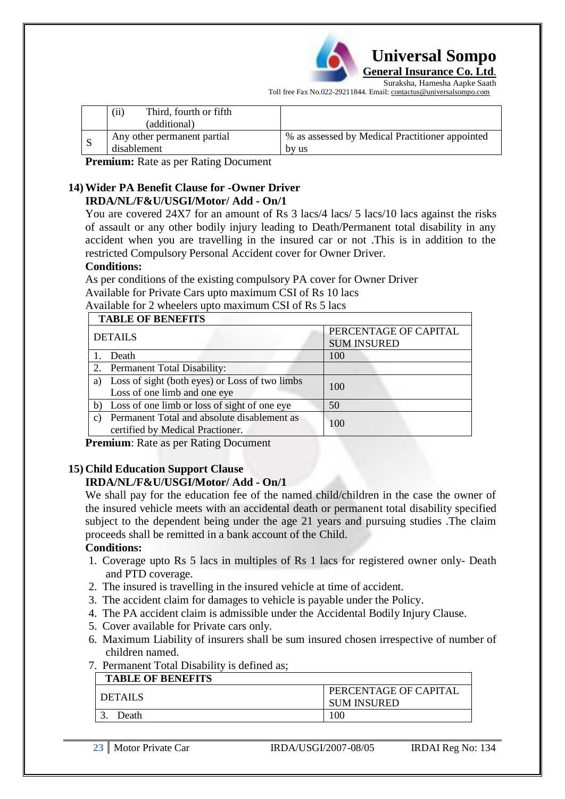

Suraksha, Hamesha Aapke Saath Toll free Fax No.022-29211844. Email: contactus@universalsompo.com

|    | (i)<br>Third, fourth or fifth<br>(additional) |                                                          |
|----|-----------------------------------------------|----------------------------------------------------------|
| -S | Any other permanent partial<br>disablement    | % as assessed by Medical Practitioner appointed<br>by us |

**Premium:** Rate as per Rating Document

#### **14) Wider PA Benefit Clause for -Owner Driver IRDA/NL/F&U/USGI/Motor/ Add - On/1**

You are covered 24X7 for an amount of Rs 3 lacs/4 lacs/ 5 lacs/10 lacs against the risks of assault or any other bodily injury leading to Death/Permanent total disability in any accident when you are travelling in the insured car or not .This is in addition to the restricted Compulsory Personal Accident cover for Owner Driver.

#### **Conditions:**

As per conditions of the existing compulsory PA cover for Owner Driver Available for Private Cars upto maximum CSI of Rs 10 lacs

Available for 2 wheelers upto maximum CSI of Rs 5 lacs

|               | <b>TABLE OF BENEFITS</b>                                                        |                                             |  |  |  |
|---------------|---------------------------------------------------------------------------------|---------------------------------------------|--|--|--|
|               | <b>DETAILS</b>                                                                  | PERCENTAGE OF CAPITAL<br><b>SUM INSURED</b> |  |  |  |
|               | Death                                                                           | 100                                         |  |  |  |
| 2.            | <b>Permanent Total Disability:</b>                                              |                                             |  |  |  |
| a)            | Loss of sight (both eyes) or Loss of two limbs<br>Loss of one limb and one eye  | 100                                         |  |  |  |
| b)            | Loss of one limb or loss of sight of one eye                                    | 50                                          |  |  |  |
| $\mathcal{C}$ | Permanent Total and absolute disablement as<br>certified by Medical Practioner. | 100                                         |  |  |  |

**Premium**: Rate as per Rating Document

## **15) Child Education Support Clause**

## **IRDA/NL/F&U/USGI/Motor/ Add - On/1**

We shall pay for the education fee of the named child/children in the case the owner of the insured vehicle meets with an accidental death or permanent total disability specified subject to the dependent being under the age 21 years and pursuing studies .The claim proceeds shall be remitted in a bank account of the Child.

#### **Conditions:**

- 1. Coverage upto Rs 5 lacs in multiples of Rs 1 lacs for registered owner only- Death and PTD coverage.
- 2. The insured is travelling in the insured vehicle at time of accident.
- 3. The accident claim for damages to vehicle is payable under the Policy.
- 4. The PA accident claim is admissible under the Accidental Bodily Injury Clause.
- 5. Cover available for Private cars only.
- 6. Maximum Liability of insurers shall be sum insured chosen irrespective of number of children named.

#### 7. Permanent Total Disability is defined as;

| <b>TABLE OF BENEFITS</b> |                                             |
|--------------------------|---------------------------------------------|
| <b>DETAILS</b>           | PERCENTAGE OF CAPITAL<br><b>SUM INSURED</b> |
| Death                    | .00                                         |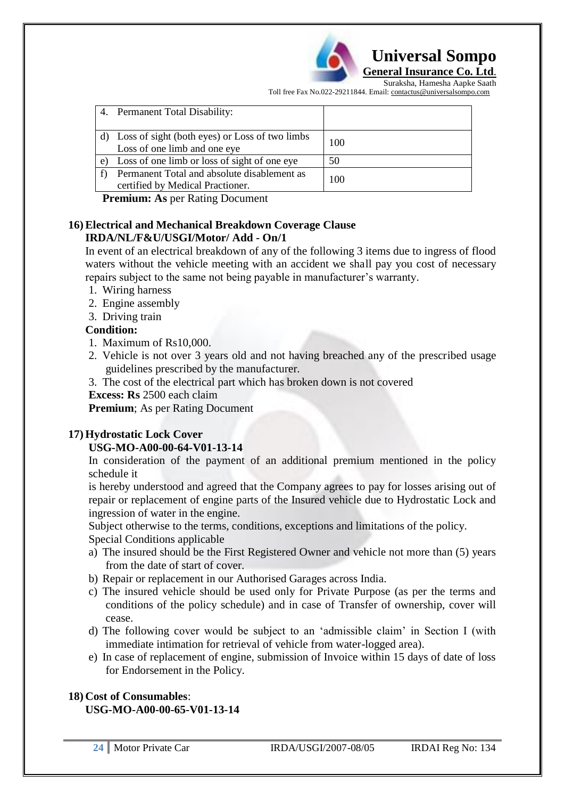

Suraksha, Hamesha Aapke Saath Toll free Fax No.022-29211844. Email: contactus@universalsompo.com

| 4.         | <b>Permanent Total Disability:</b>                                                |     |
|------------|-----------------------------------------------------------------------------------|-----|
|            | d) Loss of sight (both eyes) or Loss of two limbs<br>Loss of one limb and one eye | 100 |
| $\epsilon$ | Loss of one limb or loss of sight of one eye                                      | 50  |
|            | Permanent Total and absolute disablement as<br>certified by Medical Practioner.   | 100 |

**Premium: As** per Rating Document

#### **16) Electrical and Mechanical Breakdown Coverage Clause IRDA/NL/F&U/USGI/Motor/ Add - On/1**

In event of an electrical breakdown of any of the following 3 items due to ingress of flood waters without the vehicle meeting with an accident we shall pay you cost of necessary repairs subject to the same not being payable in manufacturer's warranty.

- 1. Wiring harness
- 2. Engine assembly
- 3. Driving train

## **Condition:**

- 1. Maximum of Rs10,000.
- 2. Vehicle is not over 3 years old and not having breached any of the prescribed usage guidelines prescribed by the manufacturer.
- 3. The cost of the electrical part which has broken down is not covered

#### **Excess: Rs** 2500 each claim

**Premium**; As per Rating Document

## **17) Hydrostatic Lock Cover**

## **USG-MO-A00-00-64-V01-13-14**

In consideration of the payment of an additional premium mentioned in the policy schedule it

is hereby understood and agreed that the Company agrees to pay for losses arising out of repair or replacement of engine parts of the Insured vehicle due to Hydrostatic Lock and ingression of water in the engine.

Subject otherwise to the terms, conditions, exceptions and limitations of the policy. Special Conditions applicable

- a) The insured should be the First Registered Owner and vehicle not more than (5) years from the date of start of cover.
- b) Repair or replacement in our Authorised Garages across India.
- c) The insured vehicle should be used only for Private Purpose (as per the terms and conditions of the policy schedule) and in case of Transfer of ownership, cover will cease.
- d) The following cover would be subject to an "admissible claim" in Section I (with immediate intimation for retrieval of vehicle from water-logged area).
- e) In case of replacement of engine, submission of Invoice within 15 days of date of loss for Endorsement in the Policy.

# **18) Cost of Consumables**: **USG-MO-A00-00-65-V01-13-14**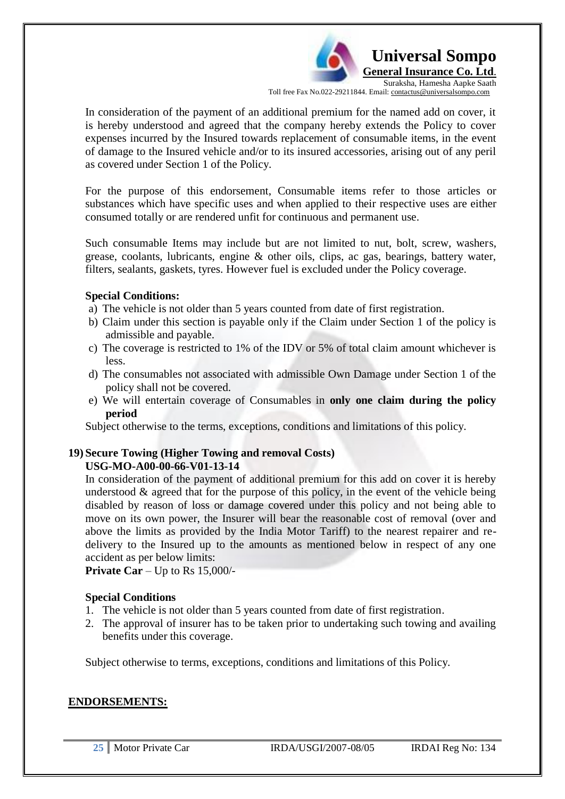**Universal Sompo General Insurance Co. Ltd**. Suraksha, Hamesha Aapke Saath

Toll free Fax No.022-29211844. Email: contactus@universalsompo.com

In consideration of the payment of an additional premium for the named add on cover, it is hereby understood and agreed that the company hereby extends the Policy to cover expenses incurred by the Insured towards replacement of consumable items, in the event of damage to the Insured vehicle and/or to its insured accessories, arising out of any peril as covered under Section 1 of the Policy.

For the purpose of this endorsement, Consumable items refer to those articles or substances which have specific uses and when applied to their respective uses are either consumed totally or are rendered unfit for continuous and permanent use.

Such consumable Items may include but are not limited to nut, bolt, screw, washers, grease, coolants, lubricants, engine & other oils, clips, ac gas, bearings, battery water, filters, sealants, gaskets, tyres. However fuel is excluded under the Policy coverage.

#### **Special Conditions:**

- a) The vehicle is not older than 5 years counted from date of first registration.
- b) Claim under this section is payable only if the Claim under Section 1 of the policy is admissible and payable.
- c) The coverage is restricted to 1% of the IDV or 5% of total claim amount whichever is less.
- d) The consumables not associated with admissible Own Damage under Section 1 of the policy shall not be covered.
- e) We will entertain coverage of Consumables in **only one claim during the policy period**

Subject otherwise to the terms, exceptions, conditions and limitations of this policy.

#### **19) Secure Towing (Higher Towing and removal Costs) USG-MO-A00-00-66-V01-13-14**

In consideration of the payment of additional premium for this add on cover it is hereby understood  $\&$  agreed that for the purpose of this policy, in the event of the vehicle being disabled by reason of loss or damage covered under this policy and not being able to move on its own power, the Insurer will bear the reasonable cost of removal (over and above the limits as provided by the India Motor Tariff) to the nearest repairer and redelivery to the Insured up to the amounts as mentioned below in respect of any one accident as per below limits:

**Private Car** – Up to Rs 15,000/-

## **Special Conditions**

- 1. The vehicle is not older than 5 years counted from date of first registration.
- 2. The approval of insurer has to be taken prior to undertaking such towing and availing benefits under this coverage.

Subject otherwise to terms, exceptions, conditions and limitations of this Policy.

## **ENDORSEMENTS:**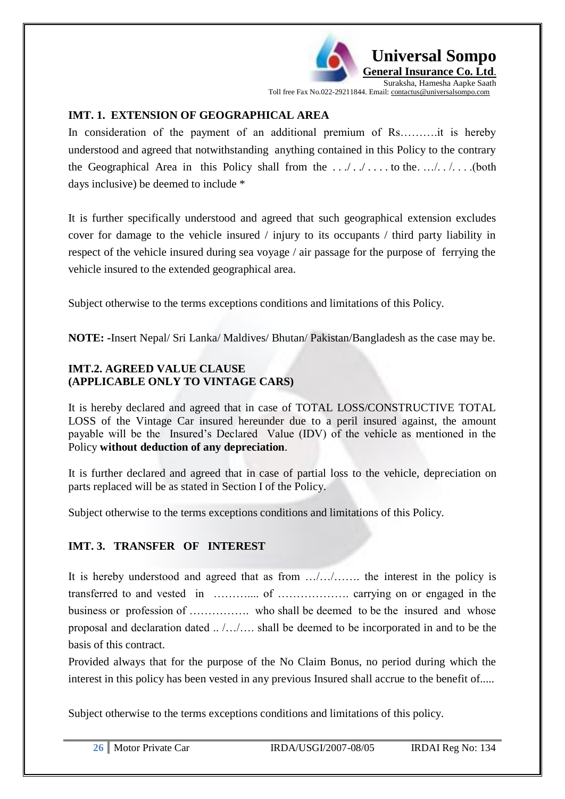

**General Insurance Co. Ltd**. Suraksha, Hamesha Aapke Saath

 **Universal Sompo** 

Toll free Fax No.022-29211844. Email: contactus@universalsompo.com

# **IMT. 1. EXTENSION OF GEOGRAPHICAL AREA**

In consideration of the payment of an additional premium of Rs……….it is hereby understood and agreed that notwithstanding anything contained in this Policy to the contrary the Geographical Area in this Policy shall from the . . ./ . ./ . . . . to the. …/. . /. . . .(both days inclusive) be deemed to include \*

It is further specifically understood and agreed that such geographical extension excludes cover for damage to the vehicle insured / injury to its occupants / third party liability in respect of the vehicle insured during sea voyage / air passage for the purpose of ferrying the vehicle insured to the extended geographical area.

Subject otherwise to the terms exceptions conditions and limitations of this Policy.

**NOTE: -**Insert Nepal/ Sri Lanka/ Maldives/ Bhutan/ Pakistan/Bangladesh as the case may be.

# **IMT.2. AGREED VALUE CLAUSE (APPLICABLE ONLY TO VINTAGE CARS)**

It is hereby declared and agreed that in case of TOTAL LOSS/CONSTRUCTIVE TOTAL LOSS of the Vintage Car insured hereunder due to a peril insured against, the amount payable will be the Insured"s Declared Value (IDV) of the vehicle as mentioned in the Policy **without deduction of any depreciation**.

It is further declared and agreed that in case of partial loss to the vehicle, depreciation on parts replaced will be as stated in Section I of the Policy.

Subject otherwise to the terms exceptions conditions and limitations of this Policy.

# **IMT. 3. TRANSFER OF INTEREST**

It is hereby understood and agreed that as from …/…/……. the interest in the policy is transferred to and vested in ……….... of ………………. carrying on or engaged in the business or profession of ……………. who shall be deemed to be the insured and whose proposal and declaration dated .. /…/…. shall be deemed to be incorporated in and to be the basis of this contract.

Provided always that for the purpose of the No Claim Bonus, no period during which the interest in this policy has been vested in any previous Insured shall accrue to the benefit of.....

Subject otherwise to the terms exceptions conditions and limitations of this policy.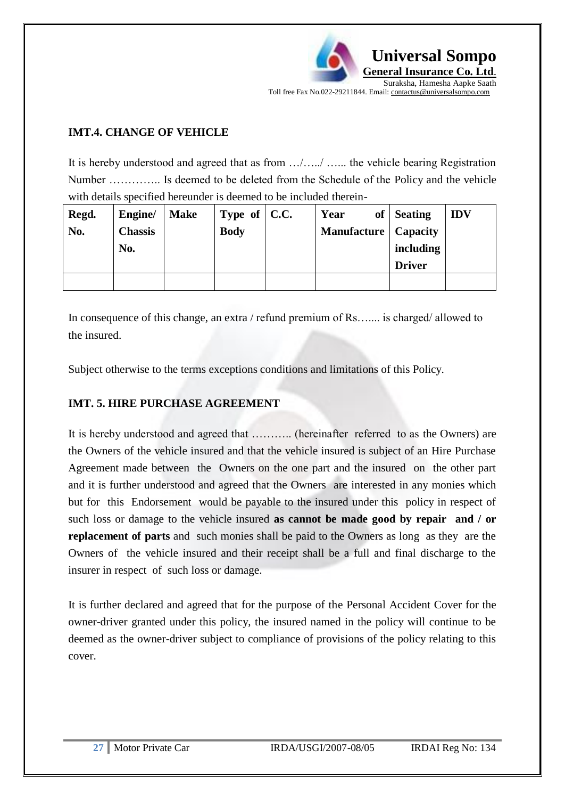

## **IMT.4. CHANGE OF VEHICLE**

It is hereby understood and agreed that as from …/…../ …... the vehicle bearing Registration Number ………….. Is deemed to be deleted from the Schedule of the Policy and the vehicle with details specified hereunder is deemed to be included therein-

| Regd. | Engine/        | <b>Make</b> | Type of $\vert$ C.C. | Year                          | of Seating    | <b>IDV</b> |
|-------|----------------|-------------|----------------------|-------------------------------|---------------|------------|
| No.   | <b>Chassis</b> |             | <b>Body</b>          | <b>Manufacture</b>   Capacity |               |            |
|       | No.            |             |                      |                               | including     |            |
|       |                |             |                      |                               | <b>Driver</b> |            |
|       |                |             |                      |                               |               |            |

In consequence of this change, an extra / refund premium of Rs…... is charged/ allowed to the insured.

Subject otherwise to the terms exceptions conditions and limitations of this Policy.

## **IMT. 5. HIRE PURCHASE AGREEMENT**

It is hereby understood and agreed that ……….. (hereinafter referred to as the Owners) are the Owners of the vehicle insured and that the vehicle insured is subject of an Hire Purchase Agreement made between the Owners on the one part and the insured on the other part and it is further understood and agreed that the Owners are interested in any monies which but for this Endorsement would be payable to the insured under this policy in respect of such loss or damage to the vehicle insured **as cannot be made good by repair and / or replacement of parts** and such monies shall be paid to the Owners as long as they are the Owners of the vehicle insured and their receipt shall be a full and final discharge to the insurer in respect of such loss or damage.

It is further declared and agreed that for the purpose of the Personal Accident Cover for the owner-driver granted under this policy, the insured named in the policy will continue to be deemed as the owner-driver subject to compliance of provisions of the policy relating to this cover.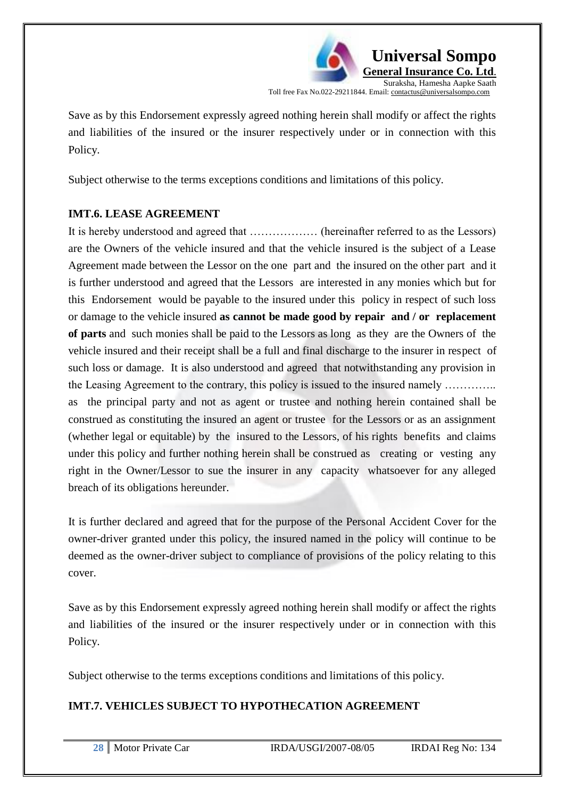

Save as by this Endorsement expressly agreed nothing herein shall modify or affect the rights and liabilities of the insured or the insurer respectively under or in connection with this Policy.

Subject otherwise to the terms exceptions conditions and limitations of this policy.

# **IMT.6. LEASE AGREEMENT**

It is hereby understood and agreed that ……………… (hereinafter referred to as the Lessors) are the Owners of the vehicle insured and that the vehicle insured is the subject of a Lease Agreement made between the Lessor on the one part and the insured on the other part and it is further understood and agreed that the Lessors are interested in any monies which but for this Endorsement would be payable to the insured under this policy in respect of such loss or damage to the vehicle insured **as cannot be made good by repair and / or replacement of parts** and such monies shall be paid to the Lessors as long as they are the Owners of the vehicle insured and their receipt shall be a full and final discharge to the insurer in respect of such loss or damage. It is also understood and agreed that notwithstanding any provision in the Leasing Agreement to the contrary, this policy is issued to the insured namely ………….. as the principal party and not as agent or trustee and nothing herein contained shall be construed as constituting the insured an agent or trustee for the Lessors or as an assignment (whether legal or equitable) by the insured to the Lessors, of his rights benefits and claims under this policy and further nothing herein shall be construed as creating or vesting any right in the Owner/Lessor to sue the insurer in any capacity whatsoever for any alleged breach of its obligations hereunder.

It is further declared and agreed that for the purpose of the Personal Accident Cover for the owner-driver granted under this policy, the insured named in the policy will continue to be deemed as the owner-driver subject to compliance of provisions of the policy relating to this cover.

Save as by this Endorsement expressly agreed nothing herein shall modify or affect the rights and liabilities of the insured or the insurer respectively under or in connection with this Policy.

Subject otherwise to the terms exceptions conditions and limitations of this policy.

# **IMT.7. VEHICLES SUBJECT TO HYPOTHECATION AGREEMENT**

|  | 28   Motor Private Car | IRDA/USGI/2007-08/05 | IRDAI Reg No: 134 |
|--|------------------------|----------------------|-------------------|
|--|------------------------|----------------------|-------------------|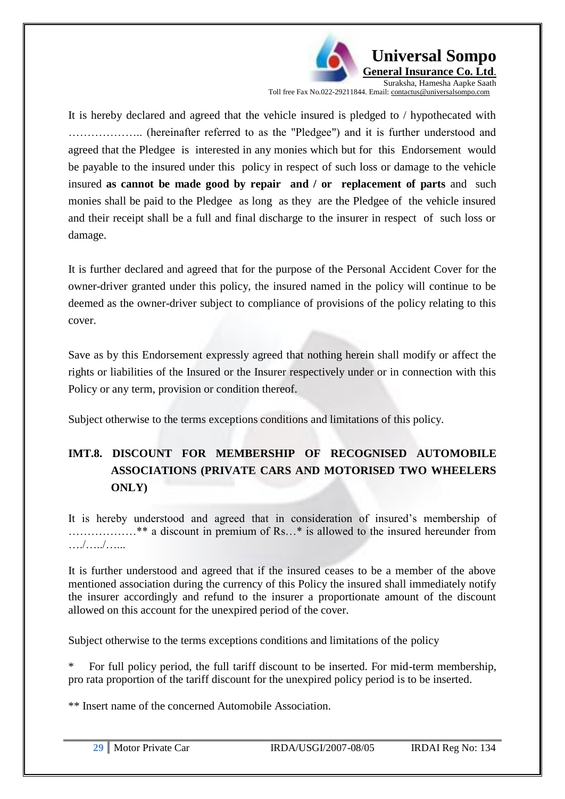

It is hereby declared and agreed that the vehicle insured is pledged to / hypothecated with ……………….. (hereinafter referred to as the "Pledgee") and it is further understood and agreed that the Pledgee is interested in any monies which but for this Endorsement would be payable to the insured under this policy in respect of such loss or damage to the vehicle insured **as cannot be made good by repair and / or replacement of parts** and such monies shall be paid to the Pledgee as long as they are the Pledgee of the vehicle insured and their receipt shall be a full and final discharge to the insurer in respect of such loss or damage.

It is further declared and agreed that for the purpose of the Personal Accident Cover for the owner-driver granted under this policy, the insured named in the policy will continue to be deemed as the owner-driver subject to compliance of provisions of the policy relating to this cover.

Save as by this Endorsement expressly agreed that nothing herein shall modify or affect the rights or liabilities of the Insured or the Insurer respectively under or in connection with this Policy or any term, provision or condition thereof.

Subject otherwise to the terms exceptions conditions and limitations of this policy.

# **IMT.8. DISCOUNT FOR MEMBERSHIP OF RECOGNISED AUTOMOBILE ASSOCIATIONS (PRIVATE CARS AND MOTORISED TWO WHEELERS ONLY)**

It is hereby understood and agreed that in consideration of insured's membership of ………………\*\* a discount in premium of Rs…\* is allowed to the insured hereunder from …./…../…...

It is further understood and agreed that if the insured ceases to be a member of the above mentioned association during the currency of this Policy the insured shall immediately notify the insurer accordingly and refund to the insurer a proportionate amount of the discount allowed on this account for the unexpired period of the cover.

Subject otherwise to the terms exceptions conditions and limitations of the policy

For full policy period, the full tariff discount to be inserted. For mid-term membership, pro rata proportion of the tariff discount for the unexpired policy period is to be inserted.

\*\* Insert name of the concerned Automobile Association.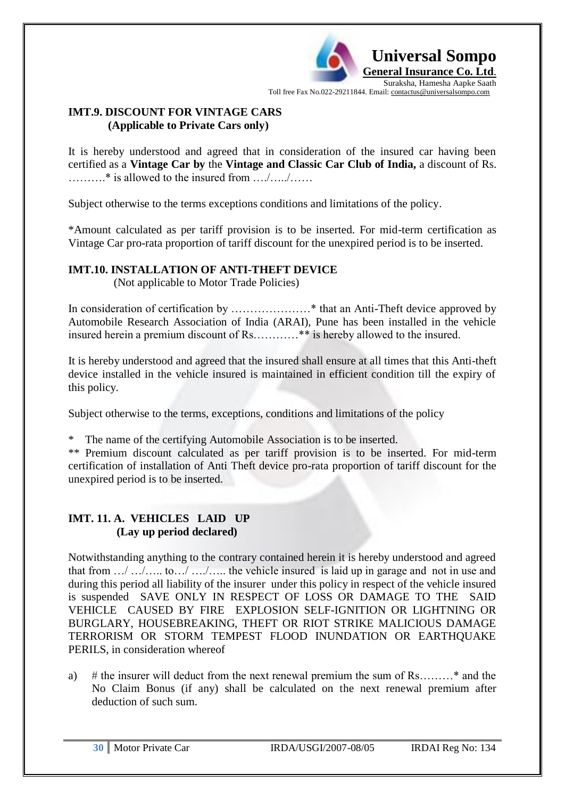

## **IMT.9. DISCOUNT FOR VINTAGE CARS (Applicable to Private Cars only)**

It is hereby understood and agreed that in consideration of the insured car having been certified as a **Vintage Car by** the **Vintage and Classic Car Club of India,** a discount of Rs. ……….\* is allowed to the insured from …./…../……

Subject otherwise to the terms exceptions conditions and limitations of the policy.

\*Amount calculated as per tariff provision is to be inserted. For mid-term certification as Vintage Car pro-rata proportion of tariff discount for the unexpired period is to be inserted.

## **IMT.10. INSTALLATION OF ANTI-THEFT DEVICE**

(Not applicable to Motor Trade Policies)

In consideration of certification by …………………\* that an Anti-Theft device approved by Automobile Research Association of India (ARAI), Pune has been installed in the vehicle insured herein a premium discount of Rs…………\*\* is hereby allowed to the insured.

It is hereby understood and agreed that the insured shall ensure at all times that this Anti-theft device installed in the vehicle insured is maintained in efficient condition till the expiry of this policy.

Subject otherwise to the terms, exceptions, conditions and limitations of the policy

\* The name of the certifying Automobile Association is to be inserted.

\*\* Premium discount calculated as per tariff provision is to be inserted. For mid-term certification of installation of Anti Theft device pro-rata proportion of tariff discount for the unexpired period is to be inserted.

# **IMT. 11. A. VEHICLES LAID UP (Lay up period declared)**

Notwithstanding anything to the contrary contained herein it is hereby understood and agreed that from …/ …/….. to…/ …./….. the vehicle insured is laid up in garage and not in use and during this period all liability of the insurer under this policy in respect of the vehicle insured is suspended SAVE ONLY IN RESPECT OF LOSS OR DAMAGE TO THE SAID VEHICLE CAUSED BY FIRE EXPLOSION SELF-IGNITION OR LIGHTNING OR BURGLARY, HOUSEBREAKING, THEFT OR RIOT STRIKE MALICIOUS DAMAGE TERRORISM OR STORM TEMPEST FLOOD INUNDATION OR EARTHQUAKE PERILS, in consideration whereof

a) # the insurer will deduct from the next renewal premium the sum of Rs………\* and the No Claim Bonus (if any) shall be calculated on the next renewal premium after deduction of such sum.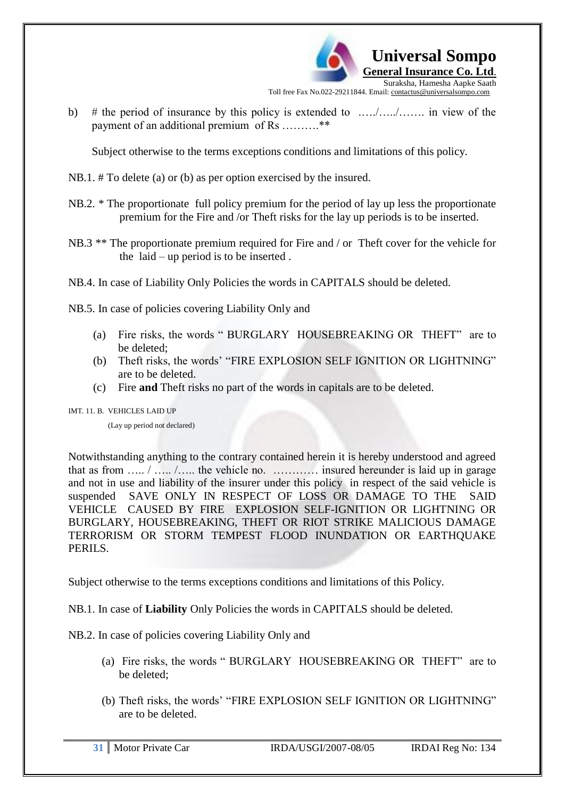

b) # the period of insurance by this policy is extended to .…./…../……. in view of the payment of an additional premium of Rs ………..\*\*

Subject otherwise to the terms exceptions conditions and limitations of this policy.

NB.1. # To delete (a) or (b) as per option exercised by the insured.

- NB.2. \* The proportionate full policy premium for the period of lay up less the proportionate premium for the Fire and /or Theft risks for the lay up periods is to be inserted.
- NB.3 \*\* The proportionate premium required for Fire and / or Theft cover for the vehicle for the laid – up period is to be inserted .

NB.4. In case of Liability Only Policies the words in CAPITALS should be deleted.

NB.5. In case of policies covering Liability Only and

- (a) Fire risks, the words " BURGLARY HOUSEBREAKING OR THEFT" are to be deleted;
- (b) Theft risks, the words" "FIRE EXPLOSION SELF IGNITION OR LIGHTNING" are to be deleted.
- (c) Fire **and** Theft risks no part of the words in capitals are to be deleted.

IMT. 11. B. VEHICLES LAID UP

(Lay up period not declared)

Notwithstanding anything to the contrary contained herein it is hereby understood and agreed that as from ….. / ….. /….. the vehicle no. ………… insured hereunder is laid up in garage and not in use and liability of the insurer under this policy in respect of the said vehicle is suspended SAVE ONLY IN RESPECT OF LOSS OR DAMAGE TO THE SAID VEHICLE CAUSED BY FIRE EXPLOSION SELF-IGNITION OR LIGHTNING OR BURGLARY, HOUSEBREAKING, THEFT OR RIOT STRIKE MALICIOUS DAMAGE TERRORISM OR STORM TEMPEST FLOOD INUNDATION OR EARTHQUAKE PERILS.

Subject otherwise to the terms exceptions conditions and limitations of this Policy.

NB.1. In case of **Liability** Only Policies the words in CAPITALS should be deleted.

NB.2. In case of policies covering Liability Only and

- (a) Fire risks, the words " BURGLARY HOUSEBREAKING OR THEFT" are to be deleted;
- (b) Theft risks, the words" "FIRE EXPLOSION SELF IGNITION OR LIGHTNING" are to be deleted.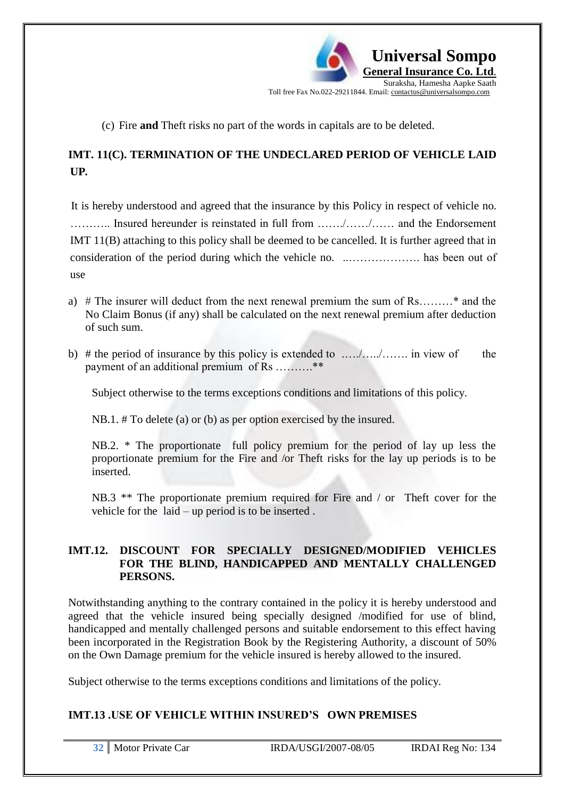

(c) Fire **and** Theft risks no part of the words in capitals are to be deleted.

# **IMT. 11(C). TERMINATION OF THE UNDECLARED PERIOD OF VEHICLE LAID UP***.*

It is hereby understood and agreed that the insurance by this Policy in respect of vehicle no. ……….. Insured hereunder is reinstated in full from ……./……/…… and the Endorsement IMT 11(B) attaching to this policy shall be deemed to be cancelled. It is further agreed that in consideration of the period during which the vehicle no. ..………………. has been out of use

- a)  $#$  The insurer will deduct from the next renewal premium the sum of Rs………\* and the No Claim Bonus (if any) shall be calculated on the next renewal premium after deduction of such sum.
- b) # the period of insurance by this policy is extended to .…./…../……. in view of the payment of an additional premium of Rs ……….\*\*

Subject otherwise to the terms exceptions conditions and limitations of this policy.

NB.1. # To delete (a) or (b) as per option exercised by the insured.

NB.2. \* The proportionate full policy premium for the period of lay up less the proportionate premium for the Fire and /or Theft risks for the lay up periods is to be inserted.

NB.3 \*\* The proportionate premium required for Fire and / or Theft cover for the vehicle for the laid – up period is to be inserted .

## **IMT.12. DISCOUNT FOR SPECIALLY DESIGNED/MODIFIED VEHICLES FOR THE BLIND, HANDICAPPED AND MENTALLY CHALLENGED PERSONS.**

Notwithstanding anything to the contrary contained in the policy it is hereby understood and agreed that the vehicle insured being specially designed /modified for use of blind, handicapped and mentally challenged persons and suitable endorsement to this effect having been incorporated in the Registration Book by the Registering Authority, a discount of 50% on the Own Damage premium for the vehicle insured is hereby allowed to the insured.

Subject otherwise to the terms exceptions conditions and limitations of the policy.

# **IMT.13 .USE OF VEHICLE WITHIN INSURED'S OWN PREMISES**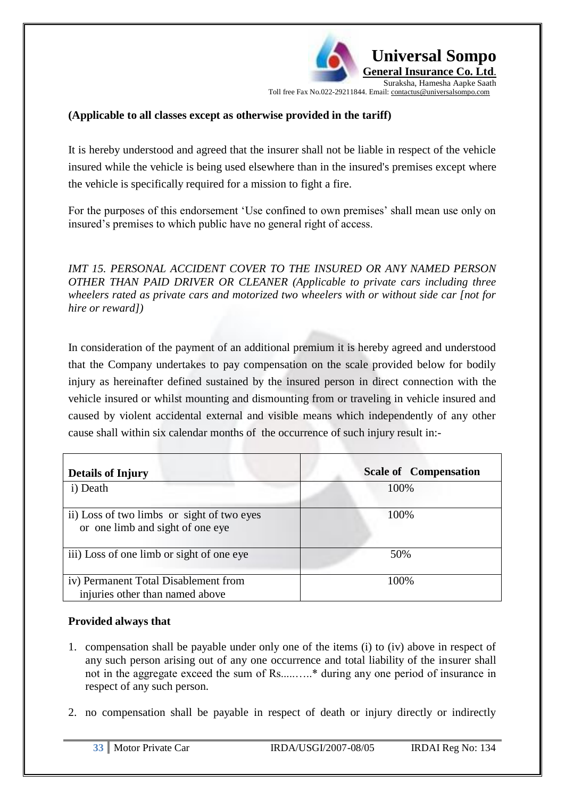**Universal Sompo General Insurance Co. Ltd**. Suraksha, Hamesha Aapke Saath

Toll free Fax No.022-29211844. Email: contactus@universalsompo.com

## **(Applicable to all classes except as otherwise provided in the tariff)**

It is hereby understood and agreed that the insurer shall not be liable in respect of the vehicle insured while the vehicle is being used elsewhere than in the insured's premises except where the vehicle is specifically required for a mission to fight a fire.

For the purposes of this endorsement 'Use confined to own premises' shall mean use only on insured"s premises to which public have no general right of access.

*IMT 15. PERSONAL ACCIDENT COVER TO THE INSURED OR ANY NAMED PERSON OTHER THAN PAID DRIVER OR CLEANER (Applicable to private cars including three wheelers rated as private cars and motorized two wheelers with or without side car [not for hire or reward])*

In consideration of the payment of an additional premium it is hereby agreed and understood that the Company undertakes to pay compensation on the scale provided below for bodily injury as hereinafter defined sustained by the insured person in direct connection with the vehicle insured or whilst mounting and dismounting from or traveling in vehicle insured and caused by violent accidental external and visible means which independently of any other cause shall within six calendar months of the occurrence of such injury result in:-

| <b>Details of Injury</b>                                                       | <b>Scale of Compensation</b> |
|--------------------------------------------------------------------------------|------------------------------|
| i) Death                                                                       | 100%                         |
| ii) Loss of two limbs or sight of two eyes<br>or one limb and sight of one eye | 100%                         |
| iii) Loss of one limb or sight of one eye                                      | 50%                          |
| iv) Permanent Total Disablement from<br>injuries other than named above        | 100%                         |

## **Provided always that**

- 1. compensation shall be payable under only one of the items (i) to (iv) above in respect of any such person arising out of any one occurrence and total liability of the insurer shall not in the aggregate exceed the sum of Rs.....…..\* during any one period of insurance in respect of any such person.
- 2. no compensation shall be payable in respect of death or injury directly or indirectly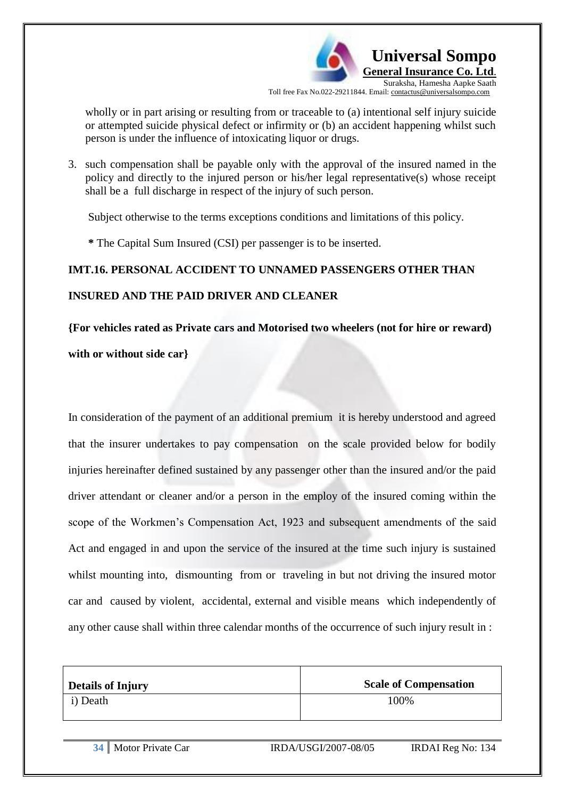

wholly or in part arising or resulting from or traceable to (a) intentional self injury suicide or attempted suicide physical defect or infirmity or (b) an accident happening whilst such person is under the influence of intoxicating liquor or drugs.

3. such compensation shall be payable only with the approval of the insured named in the policy and directly to the injured person or his/her legal representative(s) whose receipt shall be a full discharge in respect of the injury of such person.

Subject otherwise to the terms exceptions conditions and limitations of this policy.

 **\*** The Capital Sum Insured (CSI) per passenger is to be inserted.

# **IMT.16. PERSONAL ACCIDENT TO UNNAMED PASSENGERS OTHER THAN INSURED AND THE PAID DRIVER AND CLEANER**

**{For vehicles rated as Private cars and Motorised two wheelers (not for hire or reward)** 

**with or without side car}**

In consideration of the payment of an additional premium it is hereby understood and agreed that the insurer undertakes to pay compensation on the scale provided below for bodily injuries hereinafter defined sustained by any passenger other than the insured and/or the paid driver attendant or cleaner and/or a person in the employ of the insured coming within the scope of the Workmen"s Compensation Act, 1923 and subsequent amendments of the said Act and engaged in and upon the service of the insured at the time such injury is sustained whilst mounting into, dismounting from or traveling in but not driving the insured motor car and caused by violent, accidental, external and visible means which independently of any other cause shall within three calendar months of the occurrence of such injury result in :

| <b>Details of Injury</b> | <b>Scale of Compensation</b> |
|--------------------------|------------------------------|
| i) Death                 | 100%                         |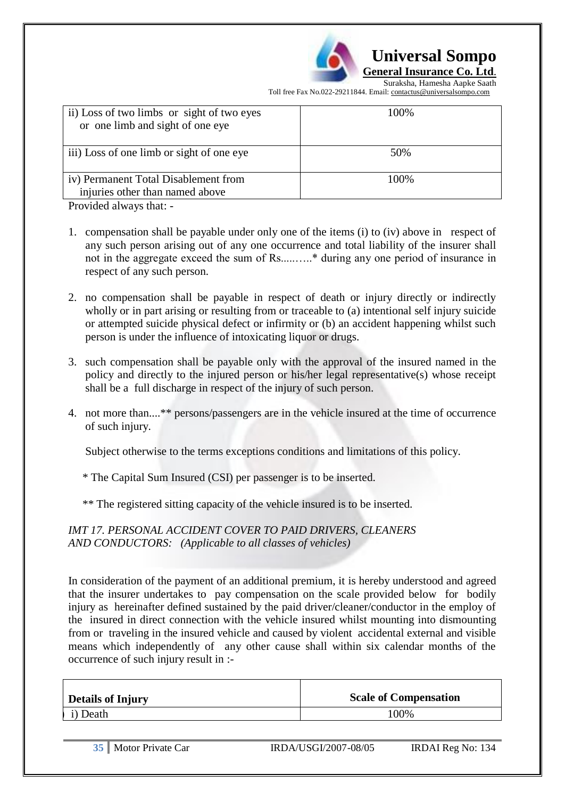

 **Universal Sompo** 

**General Insurance Co. Ltd**.

Suraksha, Hamesha Aapke Saath Toll free Fax No.022-29211844. Email: contactus@universalsompo.com

| ii) Loss of two limbs or sight of two eyes<br>or one limb and sight of one eye | 100% |
|--------------------------------------------------------------------------------|------|
| iii) Loss of one limb or sight of one eye                                      | 50%  |
| iv) Permanent Total Disablement from<br>injuries other than named above        | 100% |
| Provided always that: $\overline{\phantom{a}}$                                 |      |

Provided always that: -

- 1. compensation shall be payable under only one of the items (i) to (iv) above in respect of any such person arising out of any one occurrence and total liability of the insurer shall not in the aggregate exceed the sum of Rs.....…..\* during any one period of insurance in respect of any such person.
- 2. no compensation shall be payable in respect of death or injury directly or indirectly wholly or in part arising or resulting from or traceable to (a) intentional self injury suicide or attempted suicide physical defect or infirmity or (b) an accident happening whilst such person is under the influence of intoxicating liquor or drugs.
- 3. such compensation shall be payable only with the approval of the insured named in the policy and directly to the injured person or his/her legal representative(s) whose receipt shall be a full discharge in respect of the injury of such person.
- 4. not more than....\*\* persons/passengers are in the vehicle insured at the time of occurrence of such injury.

Subject otherwise to the terms exceptions conditions and limitations of this policy.

\* The Capital Sum Insured (CSI) per passenger is to be inserted.

\*\* The registered sitting capacity of the vehicle insured is to be inserted.

*IMT 17. PERSONAL ACCIDENT COVER TO PAID DRIVERS, CLEANERS AND CONDUCTORS: (Applicable to all classes of vehicles)*

In consideration of the payment of an additional premium, it is hereby understood and agreed that the insurer undertakes to pay compensation on the scale provided below for bodily injury as hereinafter defined sustained by the paid driver/cleaner/conductor in the employ of the insured in direct connection with the vehicle insured whilst mounting into dismounting from or traveling in the insured vehicle and caused by violent accidental external and visible means which independently of any other cause shall within six calendar months of the occurrence of such injury result in :-

| <b>Details of Injury</b> | <b>Scale of Compensation</b> |
|--------------------------|------------------------------|
| i) Death                 | 00%                          |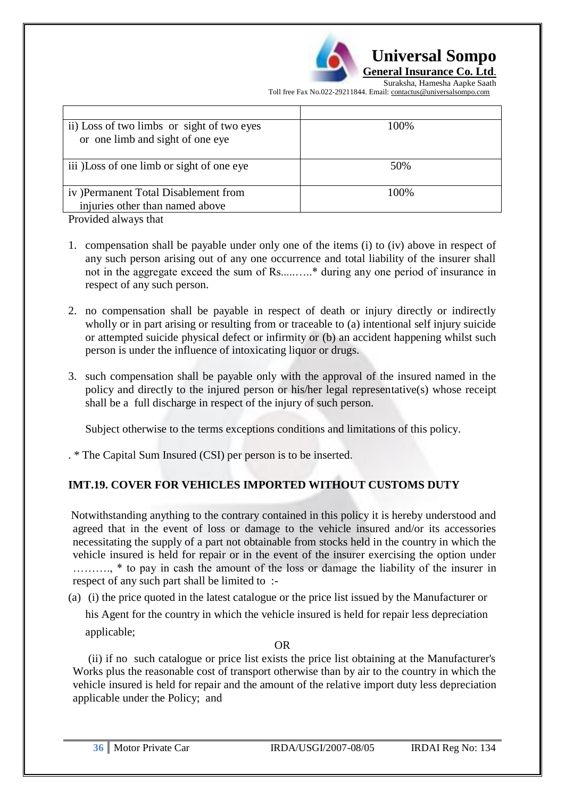

Suraksha, Hamesha Aapke Saath Toll free Fax No.022-29211844. Email: contactus@universalsompo.com

| ii) Loss of two limbs or sight of two eyes<br>or one limb and sight of one eye | 100\% |
|--------------------------------------------------------------------------------|-------|
| iii) Loss of one limb or sight of one eye                                      | 50%   |
| iv) Permanent Total Disablement from<br>injuries other than named above        | 100\% |

Provided always that

- 1. compensation shall be payable under only one of the items (i) to (iv) above in respect of any such person arising out of any one occurrence and total liability of the insurer shall not in the aggregate exceed the sum of Rs.....…..\* during any one period of insurance in respect of any such person.
- 2. no compensation shall be payable in respect of death or injury directly or indirectly wholly or in part arising or resulting from or traceable to (a) intentional self injury suicide or attempted suicide physical defect or infirmity or (b) an accident happening whilst such person is under the influence of intoxicating liquor or drugs.
- 3. such compensation shall be payable only with the approval of the insured named in the policy and directly to the injured person or his/her legal representative(s) whose receipt shall be a full discharge in respect of the injury of such person.

Subject otherwise to the terms exceptions conditions and limitations of this policy.

. \* The Capital Sum Insured (CSI) per person is to be inserted.

# **IMT.19. COVER FOR VEHICLES IMPORTED WITHOUT CUSTOMS DUTY**

Notwithstanding anything to the contrary contained in this policy it is hereby understood and agreed that in the event of loss or damage to the vehicle insured and/or its accessories necessitating the supply of a part not obtainable from stocks held in the country in which the vehicle insured is held for repair or in the event of the insurer exercising the option under ………., \* to pay in cash the amount of the loss or damage the liability of the insurer in respect of any such part shall be limited to :-

(a) (i) the price quoted in the latest catalogue or the price list issued by the Manufacturer or

his Agent for the country in which the vehicle insured is held for repair less depreciation applicable;

OR

 (ii) if no such catalogue or price list exists the price list obtaining at the Manufacturer's Works plus the reasonable cost of transport otherwise than by air to the country in which the vehicle insured is held for repair and the amount of the relative import duty less depreciation applicable under the Policy; and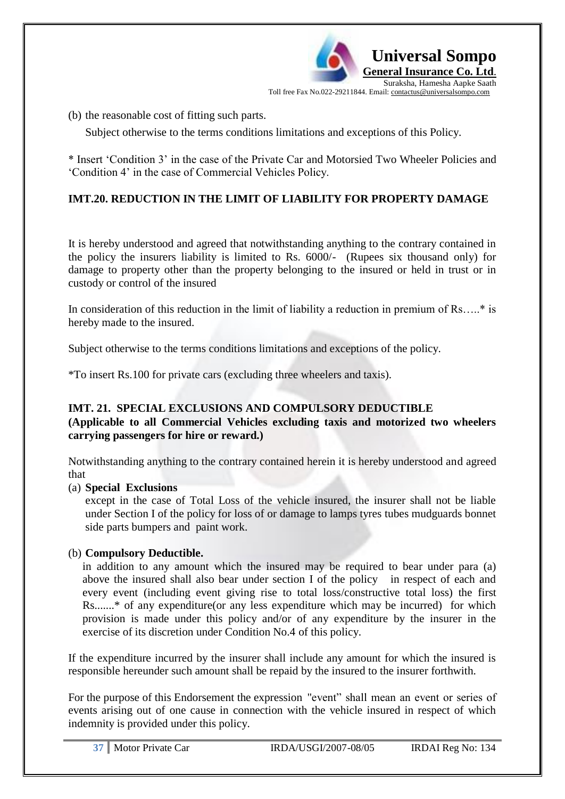

(b) the reasonable cost of fitting such parts.

Subject otherwise to the terms conditions limitations and exceptions of this Policy.

\* Insert "Condition 3" in the case of the Private Car and Motorsied Two Wheeler Policies and "Condition 4" in the case of Commercial Vehicles Policy.

# **IMT.20. REDUCTION IN THE LIMIT OF LIABILITY FOR PROPERTY DAMAGE**

It is hereby understood and agreed that notwithstanding anything to the contrary contained in the policy the insurers liability is limited to Rs. 6000/- (Rupees six thousand only) for damage to property other than the property belonging to the insured or held in trust or in custody or control of the insured

In consideration of this reduction in the limit of liability a reduction in premium of Rs…..\* is hereby made to the insured.

Subject otherwise to the terms conditions limitations and exceptions of the policy.

\*To insert Rs.100 for private cars (excluding three wheelers and taxis).

## **IMT. 21. SPECIAL EXCLUSIONS AND COMPULSORY DEDUCTIBLE**

#### **(Applicable to all Commercial Vehicles excluding taxis and motorized two wheelers carrying passengers for hire or reward.)**

Notwithstanding anything to the contrary contained herein it is hereby understood and agreed that

## (a) **Special Exclusions**

except in the case of Total Loss of the vehicle insured, the insurer shall not be liable under Section I of the policy for loss of or damage to lamps tyres tubes mudguards bonnet side parts bumpers and paint work.

## (b) **Compulsory Deductible.**

 in addition to any amount which the insured may be required to bear under para (a) above the insured shall also bear under section I of the policy in respect of each and every event (including event giving rise to total loss/constructive total loss) the first Rs.......\* of any expenditure(or any less expenditure which may be incurred) for which provision is made under this policy and/or of any expenditure by the insurer in the exercise of its discretion under Condition No.4 of this policy.

If the expenditure incurred by the insurer shall include any amount for which the insured is responsible hereunder such amount shall be repaid by the insured to the insurer forthwith.

For the purpose of this Endorsement the expression "event" shall mean an event or series of events arising out of one cause in connection with the vehicle insured in respect of which indemnity is provided under this policy.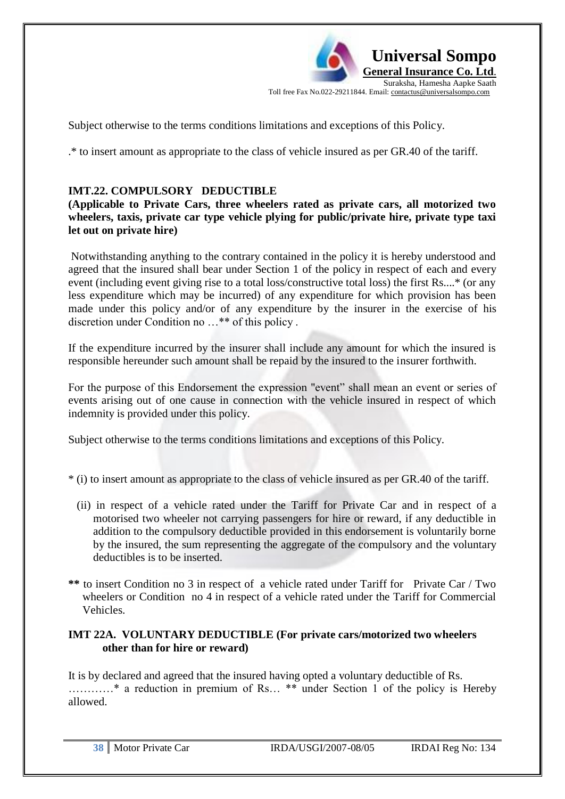

Subject otherwise to the terms conditions limitations and exceptions of this Policy.

.\* to insert amount as appropriate to the class of vehicle insured as per GR.40 of the tariff.

## **IMT.22. COMPULSORY DEDUCTIBLE**

**(Applicable to Private Cars, three wheelers rated as private cars, all motorized two wheelers, taxis, private car type vehicle plying for public/private hire, private type taxi let out on private hire)**

Notwithstanding anything to the contrary contained in the policy it is hereby understood and agreed that the insured shall bear under Section 1 of the policy in respect of each and every event (including event giving rise to a total loss/constructive total loss) the first Rs....\* (or any less expenditure which may be incurred) of any expenditure for which provision has been made under this policy and/or of any expenditure by the insurer in the exercise of his discretion under Condition no …\*\* of this policy .

If the expenditure incurred by the insurer shall include any amount for which the insured is responsible hereunder such amount shall be repaid by the insured to the insurer forthwith.

For the purpose of this Endorsement the expression "event" shall mean an event or series of events arising out of one cause in connection with the vehicle insured in respect of which indemnity is provided under this policy.

Subject otherwise to the terms conditions limitations and exceptions of this Policy.

\* (i) to insert amount as appropriate to the class of vehicle insured as per GR.40 of the tariff.

- (ii) in respect of a vehicle rated under the Tariff for Private Car and in respect of a motorised two wheeler not carrying passengers for hire or reward, if any deductible in addition to the compulsory deductible provided in this endorsement is voluntarily borne by the insured, the sum representing the aggregate of the compulsory and the voluntary deductibles is to be inserted.
- **\*\*** to insert Condition no 3 in respect of a vehicle rated under Tariff for Private Car / Two wheelers or Condition no 4 in respect of a vehicle rated under the Tariff for Commercial Vehicles.

## **IMT 22A. VOLUNTARY DEDUCTIBLE (For private cars/motorized two wheelers other than for hire or reward)**

It is by declared and agreed that the insured having opted a voluntary deductible of Rs. …………\* a reduction in premium of Rs… \*\* under Section 1 of the policy is Hereby allowed.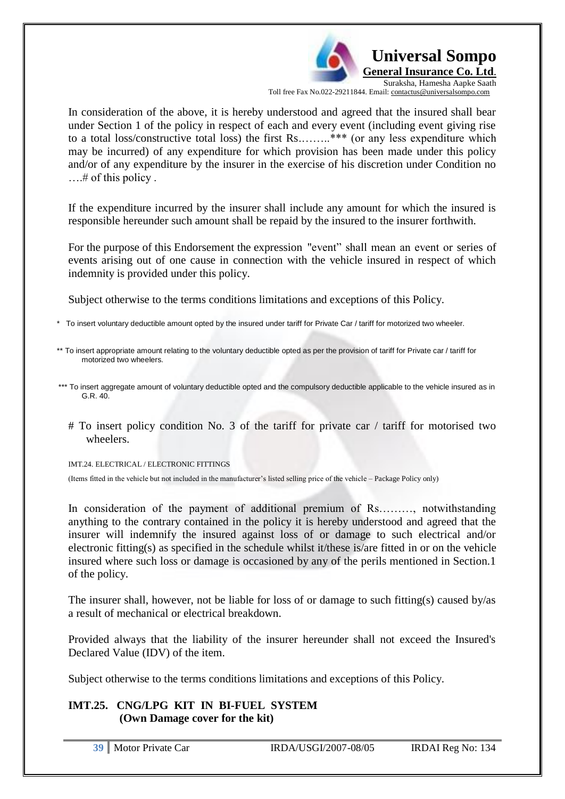

In consideration of the above, it is hereby understood and agreed that the insured shall bear under Section 1 of the policy in respect of each and every event (including event giving rise to a total loss/constructive total loss) the first Rs.……..\*\*\* (or any less expenditure which may be incurred) of any expenditure for which provision has been made under this policy and/or of any expenditure by the insurer in the exercise of his discretion under Condition no ….# of this policy .

If the expenditure incurred by the insurer shall include any amount for which the insured is responsible hereunder such amount shall be repaid by the insured to the insurer forthwith.

For the purpose of this Endorsement the expression "event" shall mean an event or series of events arising out of one cause in connection with the vehicle insured in respect of which indemnity is provided under this policy.

Subject otherwise to the terms conditions limitations and exceptions of this Policy.

- To insert voluntary deductible amount opted by the insured under tariff for Private Car / tariff for motorized two wheeler.
- \*\* To insert appropriate amount relating to the voluntary deductible opted as per the provision of tariff for Private car / tariff for motorized two wheelers.
- \*\*\* To insert aggregate amount of voluntary deductible opted and the compulsory deductible applicable to the vehicle insured as in G.R. 40.
	- # To insert policy condition No. 3 of the tariff for private car / tariff for motorised two wheelers.

IMT.24. ELECTRICAL / ELECTRONIC FITTINGS

(Items fitted in the vehicle but not included in the manufacturer"s listed selling price of the vehicle – Package Policy only)

In consideration of the payment of additional premium of Rs………, notwithstanding anything to the contrary contained in the policy it is hereby understood and agreed that the insurer will indemnify the insured against loss of or damage to such electrical and/or electronic fitting(s) as specified in the schedule whilst it/these is/are fitted in or on the vehicle insured where such loss or damage is occasioned by any of the perils mentioned in Section.1 of the policy.

The insurer shall, however, not be liable for loss of or damage to such fitting(s) caused by/as a result of mechanical or electrical breakdown.

Provided always that the liability of the insurer hereunder shall not exceed the Insured's Declared Value (IDV) of the item.

Subject otherwise to the terms conditions limitations and exceptions of this Policy.

## **IMT.25. CNG/LPG KIT IN BI-FUEL SYSTEM (Own Damage cover for the kit)**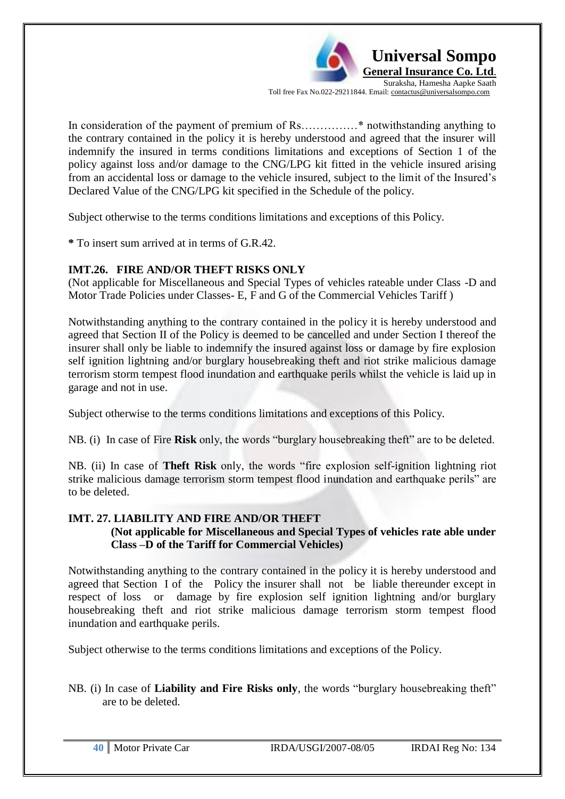

In consideration of the payment of premium of Rs……………\* notwithstanding anything to the contrary contained in the policy it is hereby understood and agreed that the insurer will indemnify the insured in terms conditions limitations and exceptions of Section 1 of the policy against loss and/or damage to the CNG/LPG kit fitted in the vehicle insured arising from an accidental loss or damage to the vehicle insured, subject to the limit of the Insured"s Declared Value of the CNG/LPG kit specified in the Schedule of the policy.

Subject otherwise to the terms conditions limitations and exceptions of this Policy.

**\*** To insert sum arrived at in terms of G.R.42.

## **IMT.26. FIRE AND/OR THEFT RISKS ONLY**

(Not applicable for Miscellaneous and Special Types of vehicles rateable under Class -D and Motor Trade Policies under Classes- E, F and G of the Commercial Vehicles Tariff )

Notwithstanding anything to the contrary contained in the policy it is hereby understood and agreed that Section II of the Policy is deemed to be cancelled and under Section I thereof the insurer shall only be liable to indemnify the insured against loss or damage by fire explosion self ignition lightning and/or burglary housebreaking theft and riot strike malicious damage terrorism storm tempest flood inundation and earthquake perils whilst the vehicle is laid up in garage and not in use.

Subject otherwise to the terms conditions limitations and exceptions of this Policy.

NB. (i) In case of Fire **Risk** only, the words "burglary housebreaking theft" are to be deleted.

NB. (ii) In case of **Theft Risk** only, the words "fire explosion self-ignition lightning riot strike malicious damage terrorism storm tempest flood inundation and earthquake perils" are to be deleted.

## **IMT. 27. LIABILITY AND FIRE AND/OR THEFT**

**(Not applicable for Miscellaneous and Special Types of vehicles rate able under Class –D of the Tariff for Commercial Vehicles)**

Notwithstanding anything to the contrary contained in the policy it is hereby understood and agreed that Section I of the Policy the insurer shall not be liable thereunder except in respect of loss or damage by fire explosion self ignition lightning and/or burglary housebreaking theft and riot strike malicious damage terrorism storm tempest flood inundation and earthquake perils.

Subject otherwise to the terms conditions limitations and exceptions of the Policy.

NB. (i) In case of **Liability and Fire Risks only**, the words "burglary housebreaking theft" are to be deleted.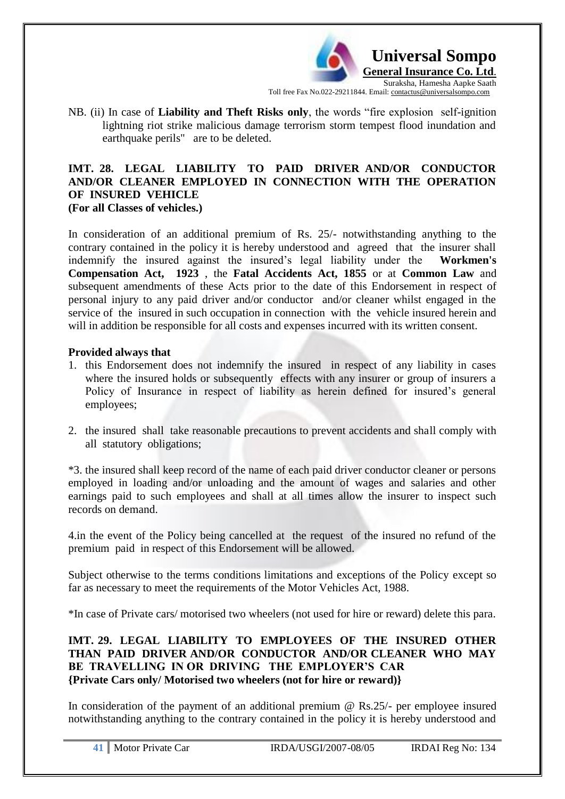

NB. (ii) In case of **Liability and Theft Risks only**, the words "fire explosion self-ignition lightning riot strike malicious damage terrorism storm tempest flood inundation and earthquake perils" are to be deleted.

#### **IMT. 28. LEGAL LIABILITY TO PAID DRIVER AND/OR CONDUCTOR AND/OR CLEANER EMPLOYED IN CONNECTION WITH THE OPERATION OF INSURED VEHICLE (For all Classes of vehicles.)**

In consideration of an additional premium of Rs. 25/- notwithstanding anything to the contrary contained in the policy it is hereby understood and agreed that the insurer shall indemnify the insured against the insured"s legal liability under the **Workmen's Compensation Act, 1923** , the **Fatal Accidents Act, 1855** or at **Common Law** and subsequent amendments of these Acts prior to the date of this Endorsement in respect of personal injury to any paid driver and/or conductor and/or cleaner whilst engaged in the service of the insured in such occupation in connection with the vehicle insured herein and will in addition be responsible for all costs and expenses incurred with its written consent.

## **Provided always that**

- 1. this Endorsement does not indemnify the insured in respect of any liability in cases where the insured holds or subsequently effects with any insurer or group of insurers a Policy of Insurance in respect of liability as herein defined for insured's general employees;
- 2. the insured shall take reasonable precautions to prevent accidents and shall comply with all statutory obligations;

\*3. the insured shall keep record of the name of each paid driver conductor cleaner or persons employed in loading and/or unloading and the amount of wages and salaries and other earnings paid to such employees and shall at all times allow the insurer to inspect such records on demand.

4.in the event of the Policy being cancelled at the request of the insured no refund of the premium paid in respect of this Endorsement will be allowed.

Subject otherwise to the terms conditions limitations and exceptions of the Policy except so far as necessary to meet the requirements of the Motor Vehicles Act, 1988.

\*In case of Private cars/ motorised two wheelers (not used for hire or reward) delete this para.

## **IMT. 29. LEGAL LIABILITY TO EMPLOYEES OF THE INSURED OTHER THAN PAID DRIVER AND/OR CONDUCTOR AND/OR CLEANER WHO MAY BE TRAVELLING IN OR DRIVING THE EMPLOYER'S CAR {Private Cars only/ Motorised two wheelers (not for hire or reward)}**

In consideration of the payment of an additional premium  $\omega$  Rs. 25/- per employee insured notwithstanding anything to the contrary contained in the policy it is hereby understood and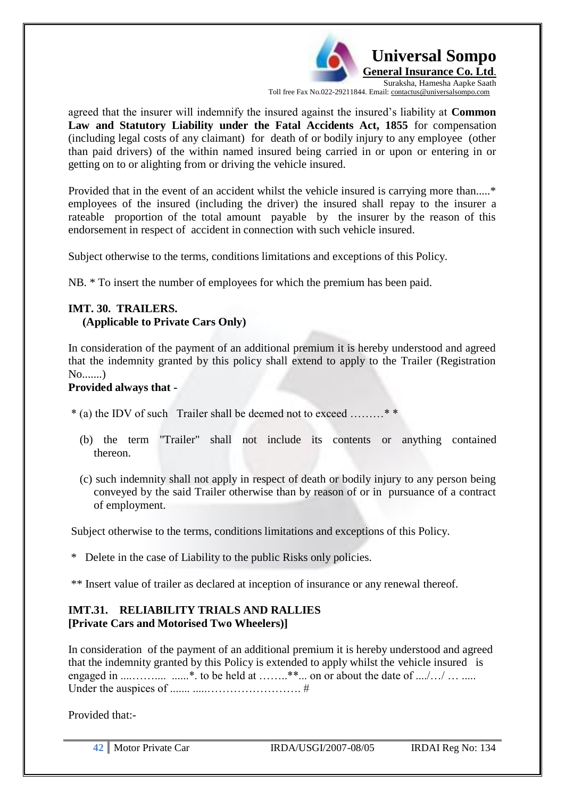

agreed that the insurer will indemnify the insured against the insured"s liability at **Common Law and Statutory Liability under the Fatal Accidents Act, 1855** for compensation (including legal costs of any claimant) for death of or bodily injury to any employee (other than paid drivers) of the within named insured being carried in or upon or entering in or getting on to or alighting from or driving the vehicle insured.

Provided that in the event of an accident whilst the vehicle insured is carrying more than.....\* employees of the insured (including the driver) the insured shall repay to the insurer a rateable proportion of the total amount payable by the insurer by the reason of this endorsement in respect of accident in connection with such vehicle insured.

Subject otherwise to the terms, conditions limitations and exceptions of this Policy.

NB. \* To insert the number of employees for which the premium has been paid.

# **IMT. 30. TRAILERS.**

#### **(Applicable to Private Cars Only)**

In consideration of the payment of an additional premium it is hereby understood and agreed that the indemnity granted by this policy shall extend to apply to the Trailer (Registration No.......)

#### **Provided always that -**

 $*(a)$  the IDV of such Trailer shall be deemed not to exceed .......

- (b) the term "Trailer" shall not include its contents or anything contained thereon.
- (c) such indemnity shall not apply in respect of death or bodily injury to any person being conveyed by the said Trailer otherwise than by reason of or in pursuance of a contract of employment.

Subject otherwise to the terms, conditions limitations and exceptions of this Policy.

\* Delete in the case of Liability to the public Risks only policies.

\*\* Insert value of trailer as declared at inception of insurance or any renewal thereof.

## **IMT.31. RELIABILITY TRIALS AND RALLIES [Private Cars and Motorised Two Wheelers)]**

In consideration of the payment of an additional premium it is hereby understood and agreed that the indemnity granted by this Policy is extended to apply whilst the vehicle insured is engaged in ....…….... ......\*. to be held at ……..\*\*... on or about the date of ..../…/ … ..... Under the auspices of ....... .....……………………. #

Provided that:-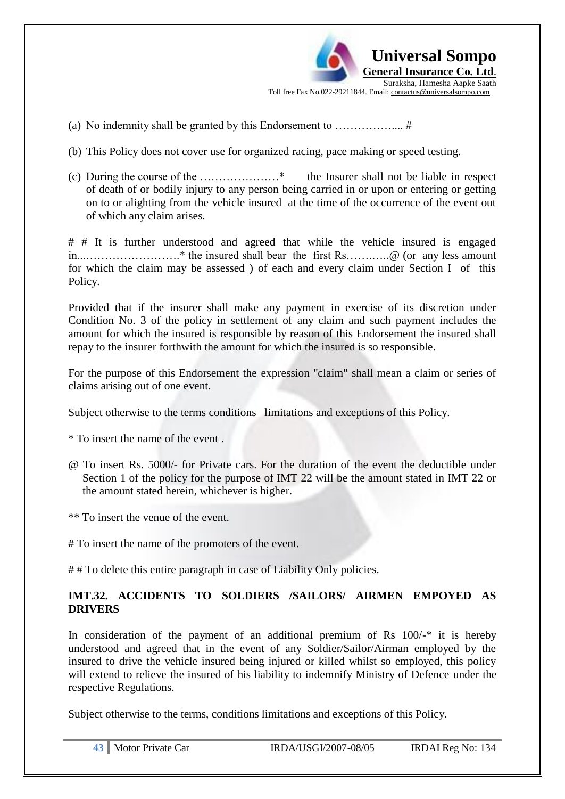**Universal Sompo General Insurance Co. Ltd**. Suraksha, Hamesha Aapke Saath Toll free Fax No.022-29211844. Email: contactus@universalsompo.com

- (a) No indemnity shall be granted by this Endorsement to …………….... #
- (b) This Policy does not cover use for organized racing, pace making or speed testing.
- (c) During the course of the …………………\* the Insurer shall not be liable in respect of death of or bodily injury to any person being carried in or upon or entering or getting on to or alighting from the vehicle insured at the time of the occurrence of the event out of which any claim arises.

# # It is further understood and agreed that while the vehicle insured is engaged in...…………………….\* the insured shall bear the first Rs…….…..@ (or any less amount for which the claim may be assessed ) of each and every claim under Section I of this Policy.

Provided that if the insurer shall make any payment in exercise of its discretion under Condition No. 3 of the policy in settlement of any claim and such payment includes the amount for which the insured is responsible by reason of this Endorsement the insured shall repay to the insurer forthwith the amount for which the insured is so responsible.

For the purpose of this Endorsement the expression "claim" shall mean a claim or series of claims arising out of one event.

Subject otherwise to the terms conditions limitations and exceptions of this Policy.

\* To insert the name of the event .

@ To insert Rs. 5000/- for Private cars. For the duration of the event the deductible under Section 1 of the policy for the purpose of IMT 22 will be the amount stated in IMT 22 or the amount stated herein, whichever is higher.

\*\* To insert the venue of the event.

# To insert the name of the promoters of the event.

## To delete this entire paragraph in case of Liability Only policies.

# **IMT.32. ACCIDENTS TO SOLDIERS /SAILORS/ AIRMEN EMPOYED AS DRIVERS**

In consideration of the payment of an additional premium of Rs  $100/-$ \* it is hereby understood and agreed that in the event of any Soldier/Sailor/Airman employed by the insured to drive the vehicle insured being injured or killed whilst so employed, this policy will extend to relieve the insured of his liability to indemnify Ministry of Defence under the respective Regulations.

Subject otherwise to the terms, conditions limitations and exceptions of this Policy.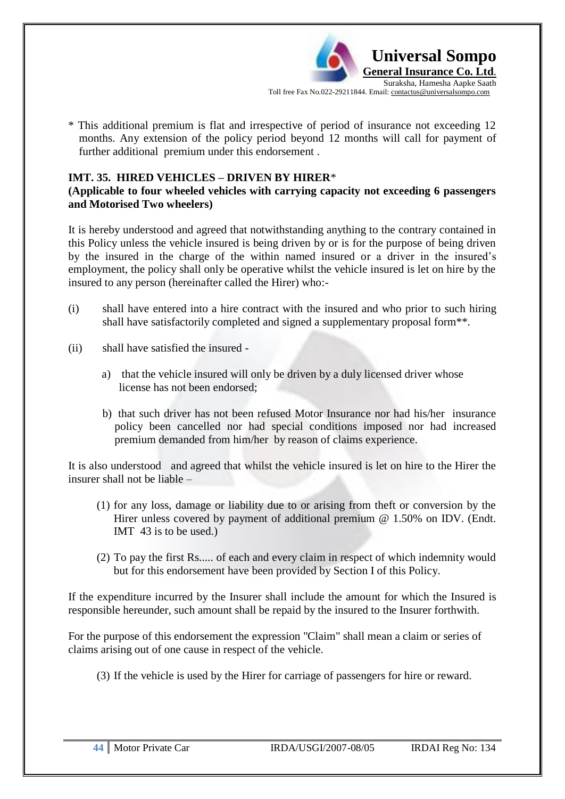

\* This additional premium is flat and irrespective of period of insurance not exceeding 12 months. Any extension of the policy period beyond 12 months will call for payment of further additional premium under this endorsement .

## **IMT. 35. HIRED VEHICLES – DRIVEN BY HIRER**\*

## **(Applicable to four wheeled vehicles with carrying capacity not exceeding 6 passengers and Motorised Two wheelers)**

It is hereby understood and agreed that notwithstanding anything to the contrary contained in this Policy unless the vehicle insured is being driven by or is for the purpose of being driven by the insured in the charge of the within named insured or a driver in the insured"s employment, the policy shall only be operative whilst the vehicle insured is let on hire by the insured to any person (hereinafter called the Hirer) who:-

- (i) shall have entered into a hire contract with the insured and who prior to such hiring shall have satisfactorily completed and signed a supplementary proposal form\*\*.
- (ii) shall have satisfied the insured
	- a) that the vehicle insured will only be driven by a duly licensed driver whose license has not been endorsed;
	- b) that such driver has not been refused Motor Insurance nor had his/her insurance policy been cancelled nor had special conditions imposed nor had increased premium demanded from him/her by reason of claims experience.

It is also understood and agreed that whilst the vehicle insured is let on hire to the Hirer the insurer shall not be liable –

- (1) for any loss, damage or liability due to or arising from theft or conversion by the Hirer unless covered by payment of additional premium @ 1.50% on IDV. (Endt.) IMT 43 is to be used.)
- (2) To pay the first Rs..... of each and every claim in respect of which indemnity would but for this endorsement have been provided by Section I of this Policy.

If the expenditure incurred by the Insurer shall include the amount for which the Insured is responsible hereunder, such amount shall be repaid by the insured to the Insurer forthwith.

For the purpose of this endorsement the expression "Claim" shall mean a claim or series of claims arising out of one cause in respect of the vehicle.

(3) If the vehicle is used by the Hirer for carriage of passengers for hire or reward.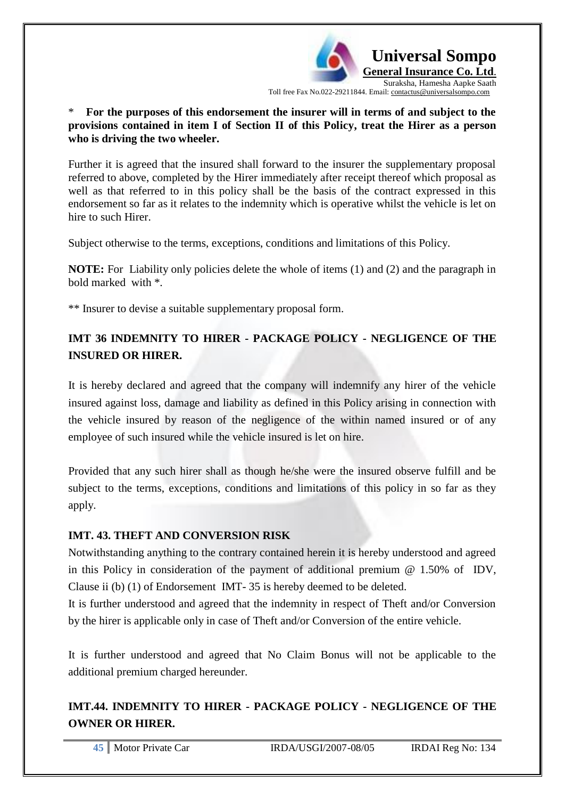

\* **For the purposes of this endorsement the insurer will in terms of and subject to the provisions contained in item I of Section II of this Policy, treat the Hirer as a person who is driving the two wheeler.**

Further it is agreed that the insured shall forward to the insurer the supplementary proposal referred to above, completed by the Hirer immediately after receipt thereof which proposal as well as that referred to in this policy shall be the basis of the contract expressed in this endorsement so far as it relates to the indemnity which is operative whilst the vehicle is let on hire to such Hirer.

Subject otherwise to the terms, exceptions, conditions and limitations of this Policy.

**NOTE:** For Liability only policies delete the whole of items (1) and (2) and the paragraph in bold marked with \*.

\*\* Insurer to devise a suitable supplementary proposal form.

# **IMT 36 INDEMNITY TO HIRER - PACKAGE POLICY - NEGLIGENCE OF THE INSURED OR HIRER.**

It is hereby declared and agreed that the company will indemnify any hirer of the vehicle insured against loss, damage and liability as defined in this Policy arising in connection with the vehicle insured by reason of the negligence of the within named insured or of any employee of such insured while the vehicle insured is let on hire.

Provided that any such hirer shall as though he/she were the insured observe fulfill and be subject to the terms, exceptions, conditions and limitations of this policy in so far as they apply.

# **IMT. 43. THEFT AND CONVERSION RISK**

Notwithstanding anything to the contrary contained herein it is hereby understood and agreed in this Policy in consideration of the payment of additional premium @ 1.50% of IDV, Clause ii (b) (1) of Endorsement IMT- 35 is hereby deemed to be deleted.

It is further understood and agreed that the indemnity in respect of Theft and/or Conversion by the hirer is applicable only in case of Theft and/or Conversion of the entire vehicle.

It is further understood and agreed that No Claim Bonus will not be applicable to the additional premium charged hereunder.

# **IMT.44. INDEMNITY TO HIRER - PACKAGE POLICY - NEGLIGENCE OF THE OWNER OR HIRER.**